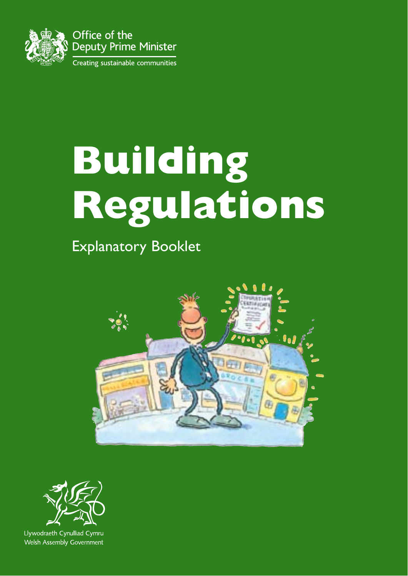

## **Building Regulations**

Explanatory Booklet





Llywodraeth Cynulliad Cymru Welsh Assembly Government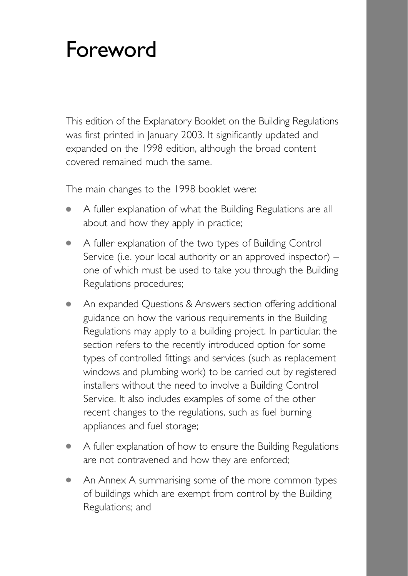### Foreword

This edition of the Explanatory Booklet on the Building Regulations was first printed in January 2003. It significantly updated and expanded on the 1998 edition, although the broad content covered remained much the same.

The main changes to the 1998 booklet were:

- A fuller explanation of what the Building Regulations are all about and how they apply in practice;
- A fuller explanation of the two types of Building Control Service (i.e. your local authority or an approved inspector) – one of which must be used to take you through the Building Regulations procedures;
- An expanded Questions & Answers section offering additional guidance on how the various requirements in the Building Regulations may apply to a building project. In particular, the section refers to the recently introduced option for some types of controlled fittings and services (such as replacement windows and plumbing work) to be carried out by registered installers without the need to involve a Building Control Service. It also includes examples of some of the other recent changes to the regulations, such as fuel burning appliances and fuel storage;
- A fuller explanation of how to ensure the Building Regulations are not contravened and how they are enforced;
- An Annex A summarising some of the more common types of buildings which are exempt from control by the Building Regulations; and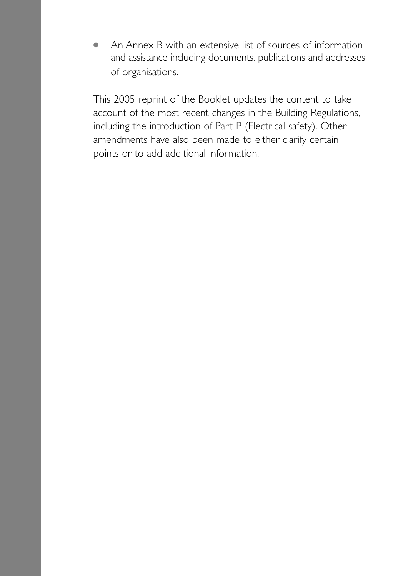● An Annex B with an extensive list of sources of information and assistance including documents, publications and addresses of organisations.

This 2005 reprint of the Booklet updates the content to take account of the most recent changes in the Building Regulations, including the introduction of Part P (Electrical safety). Other amendments have also been made to either clarify certain points or to add additional information.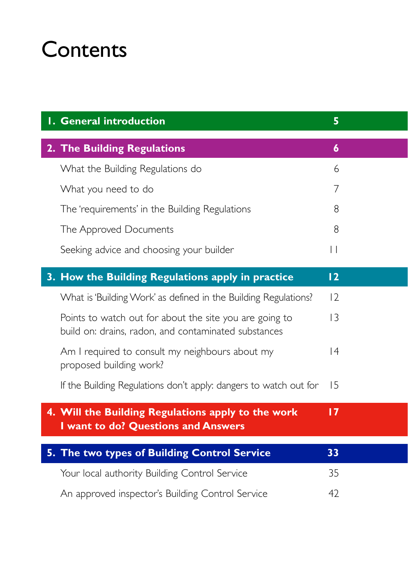### **Contents**

| <b>I. General introduction</b>                                                                                  | 5                |
|-----------------------------------------------------------------------------------------------------------------|------------------|
| 2. The Building Regulations                                                                                     | $\boldsymbol{6}$ |
| What the Building Regulations do                                                                                | 6                |
| What you need to do                                                                                             | 7                |
| The 'requirements' in the Building Regulations                                                                  | 8                |
| The Approved Documents                                                                                          | 8                |
| Seeking advice and choosing your builder                                                                        | $\vert \vert$    |
| 3. How the Building Regulations apply in practice                                                               | 12               |
| What is 'Building Work' as defined in the Building Regulations?                                                 | 12               |
| Points to watch out for about the site you are going to<br>build on: drains, radon, and contaminated substances | $\overline{3}$   |
| Am I required to consult my neighbours about my<br>proposed building work?                                      | $\vert 4$        |
| If the Building Regulations don't apply: dangers to watch out for                                               | 15               |
| 4. Will the Building Regulations apply to the work<br>I want to do? Questions and Answers                       | $\overline{17}$  |
| 5. The two types of Building Control Service                                                                    | 33               |
| Your local authority Building Control Service                                                                   | 35               |
| An approved inspector's Building Control Service                                                                | 42               |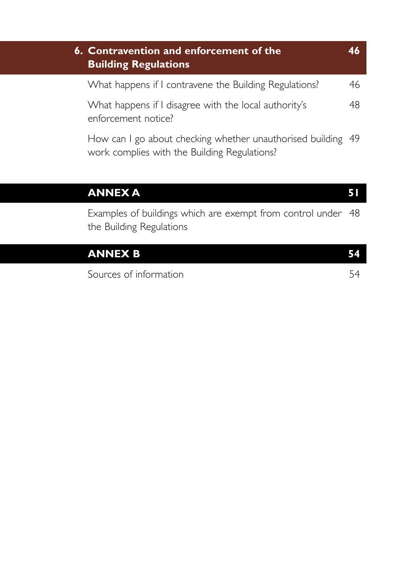| 6. Contravention and enforcement of the<br><b>Building Regulations</b>       |    |  |  |
|------------------------------------------------------------------------------|----|--|--|
| What happens if I contravene the Building Regulations?                       | 46 |  |  |
| What happens if I disagree with the local authority's<br>enforcement notice? | 48 |  |  |
| How can I go about checking whether unauthorised building 49                 |    |  |  |

How can I go about checking whether unauthorised building 49 work complies with the Building Regulations?

#### **ANNEX A** 51

Examples of buildings which are exempt from control under 48 the Building Regulations

| <b>ANNEX B</b>         | 152 I |
|------------------------|-------|
| Sources of information |       |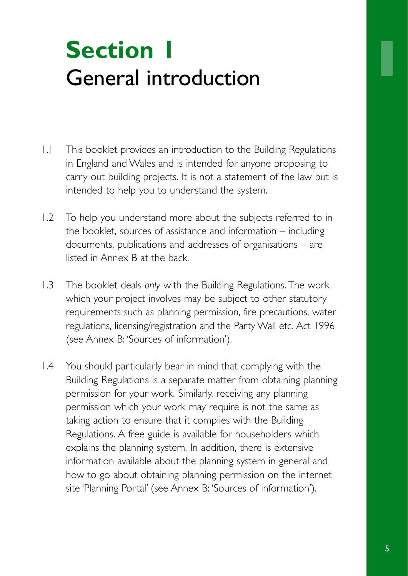## **Section 1** General introduction

- 1.1 This booklet provides an introduction to the Building Regulations in England and Wales and is intended for anyone proposing to carry out building projects. It is not a statement of the law but is intended to help you to understand the system.
- 1.2 To help you understand more about the subjects referred to in the booklet, sources of assistance and information – including documents, publications and addresses of organisations – are listed in Annex B at the back.
- 1.3 The booklet deals *only* with the Building Regulations. The work which your project involves may be subject to other statutory requirements such as planning permission, fire precautions, water regulations, licensing/registration and the Party Wall etc. Act 1996 (see Annex B: 'Sources of information').
- 1.4 You should particularly bear in mind that complying with the Building Regulations is a separate matter from obtaining planning permission for your work. Similarly, receiving any planning permission which your work may require is not the same as taking action to ensure that it complies with the Building Regulations. A free guide is available for householders which explains the planning system. In addition, there is extensive information available about the planning system in general and how to go about obtaining planning permission on the internet site 'Planning Portal' (see Annex B: 'Sources of information').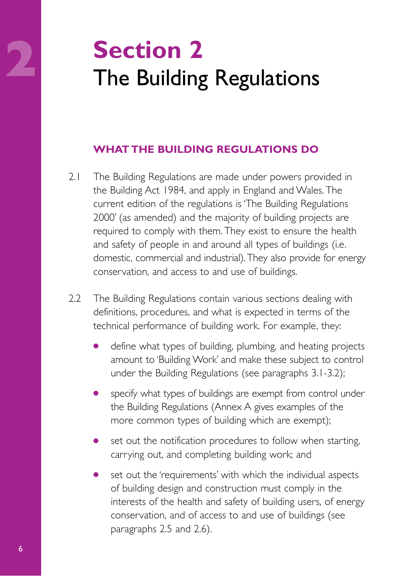# **2**<br>
The Building Regulations

#### **WHAT THE BUILDING REGULATIONS DO**

- 2.1 The Building Regulations are made under powers provided in the Building Act 1984, and apply in England and Wales. The current edition of the regulations is 'The Building Regulations 2000' (as amended) and the majority of building projects are required to comply with them. They exist to ensure the health and safety of people in and around all types of buildings (i.e. domestic, commercial and industrial). They also provide for energy conservation, and access to and use of buildings.
- 2.2 The Building Regulations contain various sections dealing with definitions, procedures, and what is expected in terms of the technical performance of building work. For example, they:
	- define what types of building, plumbing, and heating projects amount to 'Building Work' and make these subject to control under the Building Regulations (see paragraphs 3.1-3.2);
	- specify what types of buildings are exempt from control under the Building Regulations (Annex A gives examples of the more common types of building which are exempt);
	- set out the notification procedures to follow when starting, carrying out, and completing building work; and
	- set out the 'requirements' with which the individual aspects of building design and construction must comply in the interests of the health and safety of building users, of energy conservation, and of access to and use of buildings (see paragraphs 2.5 and 2.6).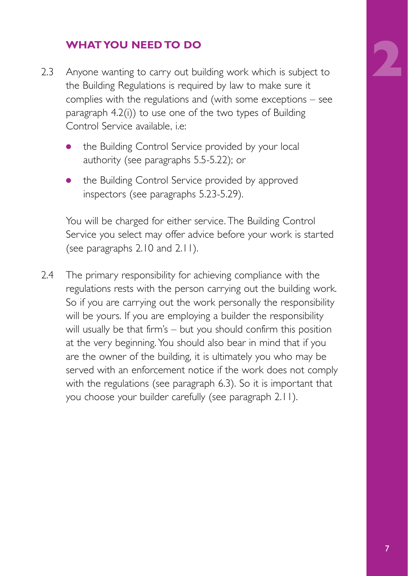#### **WHAT YOU NEED TO DO**

- 2.3 Anyone wanting to carry out building work which is subject to the Building Regulations is required by law to make sure it complies with the regulations and (with some exceptions – see paragraph 4.2(i)) to use one of the two types of Building Control Service available, i.e:
	- the Building Control Service provided by your local authority (see paragraphs 5.5-5.22); or
	- the Building Control Service provided by approved inspectors (see paragraphs 5.23-5.29).

You will be charged for either service. The Building Control Service you select may offer advice before your work is started (see paragraphs 2.10 and 2.11).

2.4 The primary responsibility for achieving compliance with the regulations rests with the person carrying out the building work. So if you are carrying out the work personally the responsibility will be yours. If you are employing a builder the responsibility will usually be that firm's – but you should confirm this position at the very beginning. You should also bear in mind that if you are the owner of the building, it is ultimately you who may be served with an enforcement notice if the work does not comply with the regulations (see paragraph 6.3). So it is important that you choose your builder carefully (see paragraph 2.11).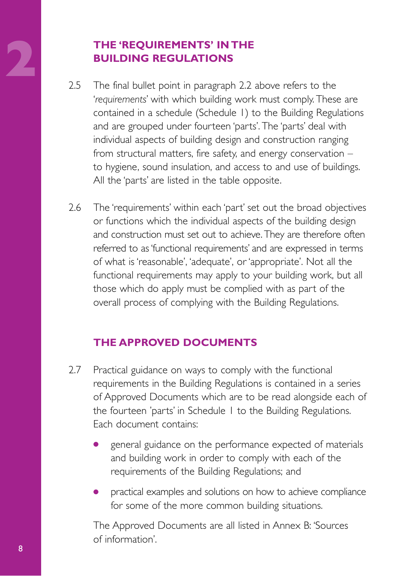### **2.5 The final bullet point in paragraph 2.2**<br>**2.5 The final bullet point in paragraph 2.2 BUILDING REGULATIONS**

- The final bullet point in paragraph 2.2 above refers to the '*requirements*' with which building work must comply. These are contained in a schedule (Schedule 1) to the Building Regulations and are grouped under fourteen 'parts'. The 'parts' deal with individual aspects of building design and construction ranging from structural matters, fire safety, and energy conservation – to hygiene, sound insulation, and access to and use of buildings. All the 'parts' are listed in the table opposite.
- 2.6 The 'requirements' within each 'part' set out the broad objectives or functions which the individual aspects of the building design and construction must set out to achieve.They are therefore often referred to as 'functional requirements' and are expressed in terms of what is 'reasonable', 'adequate', or 'appropriate'. Not all the functional requirements may apply to your building work, but all those which do apply must be complied with as part of the overall process of complying with the Building Regulations.

#### **THE APPROVED DOCUMENTS**

- 2.7 Practical guidance on ways to comply with the functional requirements in the Building Regulations is contained in a series of Approved Documents which are to be read alongside each of the fourteen 'parts' in Schedule 1 to the Building Regulations. Each document contains:
	- general guidance on the performance expected of materials and building work in order to comply with each of the requirements of the Building Regulations; and
	- practical examples and solutions on how to achieve compliance for some of the more common building situations.

The Approved Documents are all listed in Annex B: 'Sources of information'.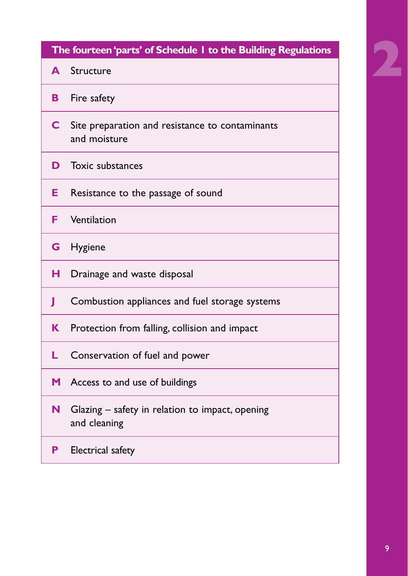| The fourteen 'parts' of Schedule I to the Building Regulations |                                                                   |  |  |  |
|----------------------------------------------------------------|-------------------------------------------------------------------|--|--|--|
| A                                                              | Structure                                                         |  |  |  |
| В                                                              | Fire safety                                                       |  |  |  |
| C                                                              | Site preparation and resistance to contaminants<br>and moisture   |  |  |  |
| D                                                              | <b>Toxic substances</b>                                           |  |  |  |
| Е                                                              | Resistance to the passage of sound                                |  |  |  |
| F                                                              | Ventilation                                                       |  |  |  |
| G                                                              | <b>Hygiene</b>                                                    |  |  |  |
| н                                                              | Drainage and waste disposal                                       |  |  |  |
|                                                                | Combustion appliances and fuel storage systems                    |  |  |  |
| Κ                                                              | Protection from falling, collision and impact                     |  |  |  |
|                                                                | Conservation of fuel and power                                    |  |  |  |
| M                                                              | Access to and use of buildings                                    |  |  |  |
| N                                                              | Glazing $-$ safety in relation to impact, opening<br>and cleaning |  |  |  |
| Р                                                              | Electrical safety                                                 |  |  |  |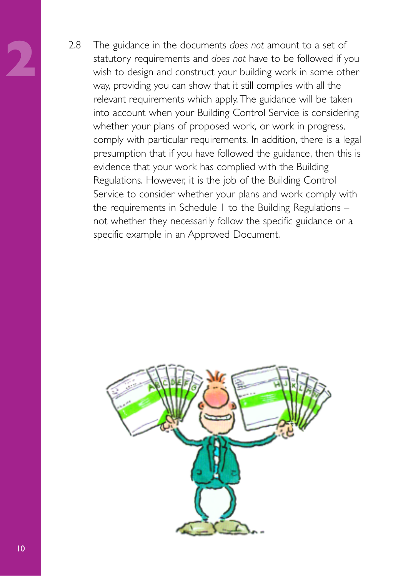**2** 2.8 The guidance in the documents *does not* amount to a set of statutory requirements and *does not* have to be followed if you wish to design and construct your building work in some other way, providing you can show that it still complies with all the relevant requirements which apply. The guidance will be taken into account when your Building Control Service is considering whether your plans of proposed work, or work in progress, comply with particular requirements. In addition, there is a legal presumption that if you have followed the guidance, then this is evidence that your work has complied with the Building Regulations. However, it is the job of the Building Control Service to consider whether your plans and work comply with the requirements in Schedule 1 to the Building Regulations – not whether they necessarily follow the specific guidance or a specific example in an Approved Document.

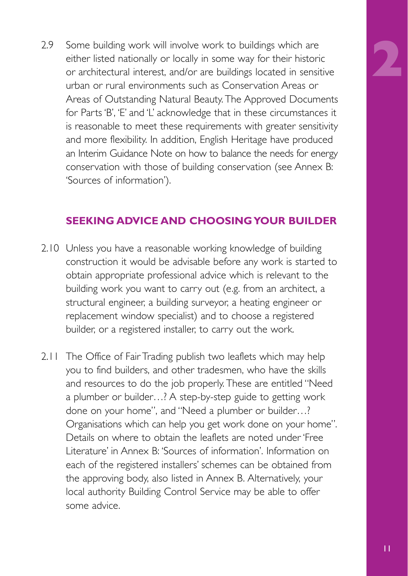2.9 Some building work will involve work to buildings which are either listed nationally or locally in some way for their historic or architectural interest, and/or are buildings located in sensitive urban or rural environments such as Conservation Areas or Areas of Outstanding Natural Beauty. The Approved Documents for Parts 'B', 'E' and 'L' acknowledge that in these circumstances it is reasonable to meet these requirements with greater sensitivity and more flexibility. In addition, English Heritage have produced an Interim Guidance Note on how to balance the needs for energy conservation with those of building conservation (see Annex B: 'Sources of information').

#### **SEEKING ADVICE AND CHOOSING YOUR BUILDER**

- 2.10 Unless you have a reasonable working knowledge of building construction it would be advisable before any work is started to obtain appropriate professional advice which is relevant to the building work you want to carry out (e.g. from an architect, a structural engineer, a building surveyor, a heating engineer or replacement window specialist) and to choose a registered builder, or a registered installer, to carry out the work.
- 2.11 The Office of Fair Trading publish two leaflets which may help you to find builders, and other tradesmen, who have the skills and resources to do the job properly. These are entitled "Need a plumber or builder…? A step-by-step guide to getting work done on your home", and "Need a plumber or builder…? Organisations which can help you get work done on your home". Details on where to obtain the leaflets are noted under 'Free Literature' in Annex B: 'Sources of information'. Information on each of the registered installers' schemes can be obtained from the approving body, also listed in Annex B. Alternatively, your local authority Building Control Service may be able to offer some advice.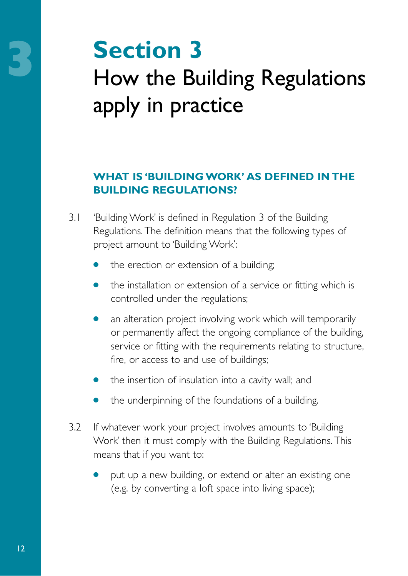## **3**<br>
How the Building Regulations apply in practice

#### **WHAT IS 'BUILDING WORK' AS DEFINED IN THE BUILDING REGULATIONS?**

- 3.1 'Building Work' is defined in Regulation 3 of the Building Regulations. The definition means that the following types of project amount to 'Building Work':
	- the erection or extension of a building;
	- the installation or extension of a service or fitting which is controlled under the regulations;
	- an alteration project involving work which will temporarily or permanently affect the ongoing compliance of the building, service or fitting with the requirements relating to structure, fire, or access to and use of buildings;
	- the insertion of insulation into a cavity wall; and
	- the underpinning of the foundations of a building.
- 3.2 If whatever work your project involves amounts to 'Building Work' then it must comply with the Building Regulations. This means that if you want to:
	- put up a new building, or extend or alter an existing one (e.g. by converting a loft space into living space);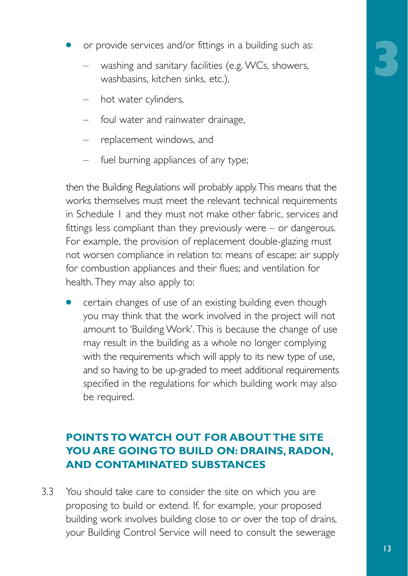- **3**
- or provide services and/or fittings in a building such as:
	- washing and sanitary facilities (e.g. WCs, showers, washbasins, kitchen sinks, etc.),
	- hot water cylinders,
	- foul water and rainwater drainage,
	- replacement windows, and
	- fuel burning appliances of any type;

then the Building Regulations will probably apply.This means that the works themselves must meet the relevant technical requirements in Schedule 1 and they must not make other fabric, services and fittings less compliant than they previously were – or dangerous. For example, the provision of replacement double-glazing must not worsen compliance in relation to: means of escape; air supply for combustion appliances and their flues; and ventilation for health. They may also apply to:

certain changes of use of an existing building even though you may think that the work involved in the project will not amount to 'Building Work'. This is because the change of use may result in the building as a whole no longer complying with the requirements which will apply to its new type of use, and so having to be up-graded to meet additional requirements specified in the regulations for which building work may also be required.

#### **POINTS TO WATCH OUT FOR ABOUT THE SITE YOU ARE GOING TO BUILD ON: DRAINS, RADON, AND CONTAMINATED SUBSTANCES**

3.3 You should take care to consider the site on which you are proposing to build or extend. If, for example, your proposed building work involves building close to or over the top of drains, your Building Control Service will need to consult the sewerage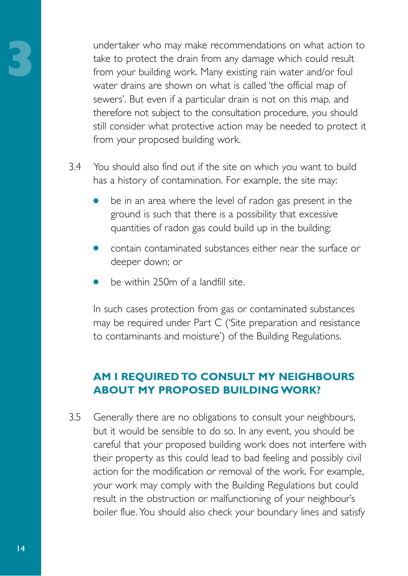**3** undertaker who may make recommendations on what action to take to protect the drain from any damage which could result from your building work. Many existing rain water and/or foul water drains are shown on what is called 'the official map of sewers'. But even if a particular drain is not on this map, and therefore not subject to the consultation procedure, you should still consider what protective action may be needed to protect it from your proposed building work.

- 3.4 You should also find out if the site on which you want to build has a history of contamination. For example, the site may:
	- be in an area where the level of radon gas present in the ground is such that there is a possibility that excessive quantities of radon gas could build up in the building;
	- contain contaminated substances either near the surface or deeper down; or
	- be within 250m of a landfill site.

In such cases protection from gas or contaminated substances may be required under Part C ('Site preparation and resistance to contaminants and moisture') of the Building Regulations.

#### **AM I REQUIRED TO CONSULT MY NEIGHBOURS ABOUT MY PROPOSED BUILDING WORK?**

3.5 Generally there are no obligations to consult your neighbours, but it would be sensible to do so. In any event, you should be careful that your proposed building work does not interfere with their property as this could lead to bad feeling and possibly civil action for the modification or removal of the work. For example, your work may comply with the Building Regulations but could result in the obstruction or malfunctioning of your neighbour's boiler flue. You should also check your boundary lines and satisfy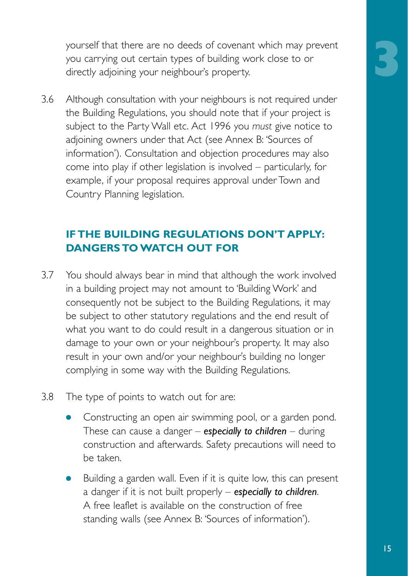yourself that there are no deeds of covenant which may prevent you carrying out certain types of building work close to or directly adjoining your neighbour's property.

3.6 Although consultation with your neighbours is not required under the Building Regulations, you should note that if your project is subject to the Party Wall etc. Act 1996 you *must* give notice to adjoining owners under that Act (see Annex B: 'Sources of information'). Consultation and objection procedures may also come into play if other legislation is involved – particularly, for example, if your proposal requires approval under Town and Country Planning legislation.

#### **IF THE BUILDING REGULATIONS DON'T APPLY: DANGERS TO WATCH OUT FOR**

- 3.7 You should always bear in mind that although the work involved in a building project may not amount to 'Building Work' and consequently not be subject to the Building Regulations, it may be subject to other statutory regulations and the end result of what you want to do could result in a dangerous situation or in damage to your own or your neighbour's property. It may also result in your own and/or your neighbour's building no longer complying in some way with the Building Regulations.
- 3.8 The type of points to watch out for are:
	- Constructing an open air swimming pool, or a garden pond. These can cause a danger – *especially to children* – during construction and afterwards. Safety precautions will need to be taken.
	- Building a garden wall. Even if it is quite low, this can present a danger if it is not built properly – *especially to children*. A free leaflet is available on the construction of free standing walls (see Annex B: 'Sources of information').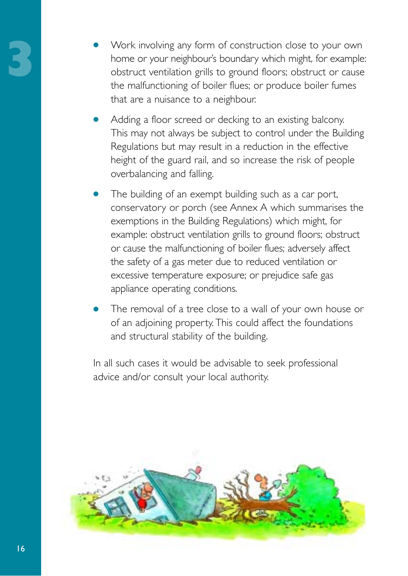- Work involving any form of construction close to your own home or your neighbour's boundary which might, for example: obstruct ventilation grills to ground floors; obstruct or cause the malfunctioning of boiler flues; or produce boiler fumes that are a nuisance to a neighbour.
- Adding a floor screed or decking to an existing balcony. This may not always be subject to control under the Building Regulations but may result in a reduction in the effective height of the guard rail, and so increase the risk of people overbalancing and falling.
- The building of an exempt building such as a car port, conservatory or porch (see Annex A which summarises the exemptions in the Building Regulations) which might, for example: obstruct ventilation grills to ground floors; obstruct or cause the malfunctioning of boiler flues; adversely affect the safety of a gas meter due to reduced ventilation or excessive temperature exposure; or prejudice safe gas appliance operating conditions.
- The removal of a tree close to a wall of your own house or of an adjoining property. This could affect the foundations and structural stability of the building.

In all such cases it would be advisable to seek professional advice and/or consult your local authority.

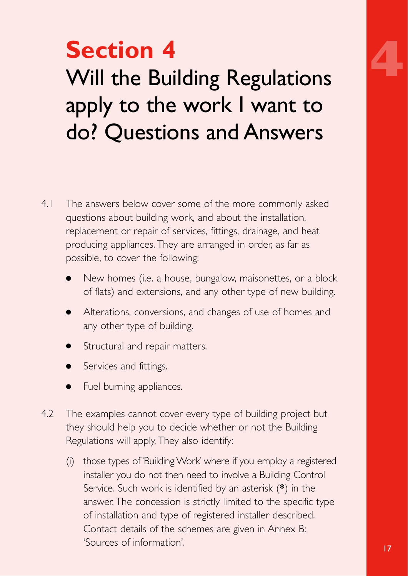

## **Section 4** Will the Building Regulations apply to the work I want to do? Questions and Answers

- 4.1 The answers below cover some of the more commonly asked questions about building work, and about the installation, replacement or repair of services, fittings, drainage, and heat producing appliances. They are arranged in order, as far as possible, to cover the following:
	- New homes (i.e. a house, bungalow, maisonettes, or a block of flats) and extensions, and any other type of new building.
	- Alterations, conversions, and changes of use of homes and any other type of building.
	- **•** Structural and repair matters.
	- Services and fittings.
	- Fuel burning appliances.
- 4.2 The examples cannot cover every type of building project but they should help you to decide whether or not the Building Regulations will apply. They also identify:
	- (i) those types of 'Building Work' where if you employ a registered installer you do not then need to involve a Building Control Service. Such work is identified by an asterisk (**\***) in the answer. The concession is strictly limited to the specific type of installation and type of registered installer described. Contact details of the schemes are given in Annex B: 'Sources of information'.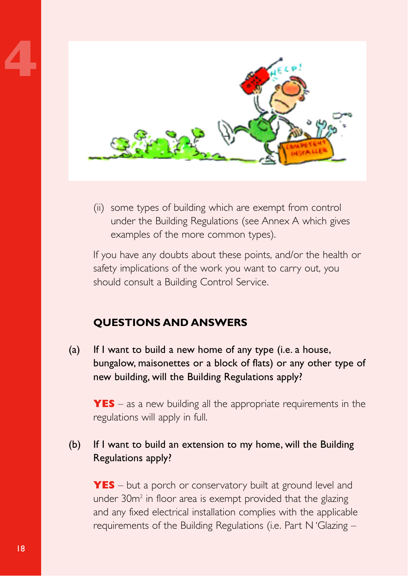

(ii) some types of building which are exempt from control under the Building Regulations (see Annex A which gives examples of the more common types).

If you have any doubts about these points, and/or the health or safety implications of the work you want to carry out, you should consult a Building Control Service.

#### **QUESTIONS AND ANSWERS**

(a) If I want to build a new home of any type (i.e. a house, bungalow, maisonettes or a block of flats) or any other type of new building, will the Building Regulations apply?

**YES** – as a new building all the appropriate requirements in the regulations will apply in full.

#### (b) If I want to build an extension to my home, will the Building Regulations apply?

**YES** – but a porch or conservatory built at ground level and under 30m<sup>2</sup> in floor area is exempt provided that the glazing and any fixed electrical installation complies with the applicable requirements of the Building Regulations (i.e. Part N 'Glazing –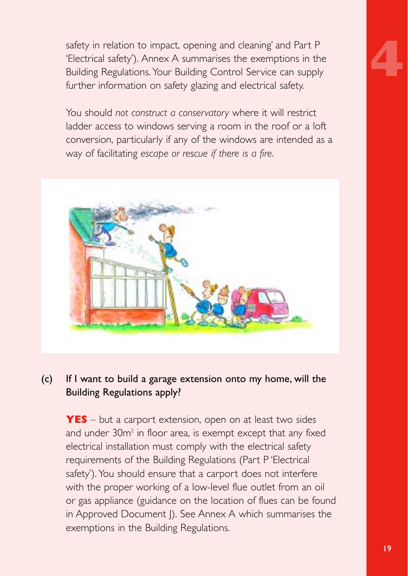safety in relation to impact, opening and cleaning' and Part P 'Electrical safety'). Annex A summarises the exemptions in the Building Regulations. Your Building Control Service can supply further information on safety glazing and electrical safety.

You should *not construct a conservatory* where it will restrict ladder access to windows serving a room in the roof or a loft conversion, particularly if any of the windows are intended as a way of facilitating *escape or rescue if there is a fire*.



#### (c) If I want to build a garage extension onto my home, will the Building Regulations apply?

**YES** – but a carport extension, open on at least two sides and under 30m<sup>2</sup> in floor area, is exempt except that any fixed electrical installation must comply with the electrical safety requirements of the Building Regulations (Part P 'Electrical safety'). You should ensure that a carport does not interfere with the proper working of a low-level flue outlet from an oil or gas appliance (guidance on the location of flues can be found in Approved Document J). See Annex A which summarises the exemptions in the Building Regulations.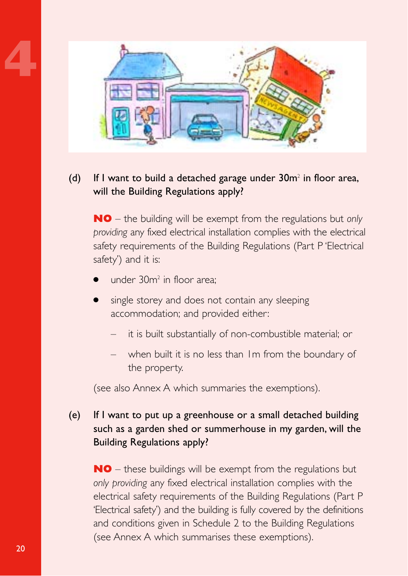

#### (d) If I want to build a detached garage under  $30m^2$  in floor area, will the Building Regulations apply?

**NO** – the building will be exempt from the regulations but *only providing* any fixed electrical installation complies with the electrical safety requirements of the Building Regulations (Part P 'Electrical safety') and it is:

- under  $30m^2$  in floor area;
- single storey and does not contain any sleeping accommodation; and provided either:
	- it is built substantially of non-combustible material; or
	- when built it is no less than Im from the boundary of the property.

(see also Annex A which summaries the exemptions).

#### (e) If I want to put up a greenhouse or a small detached building such as a garden shed or summerhouse in my garden, will the Building Regulations apply?

**NO** – these buildings will be exempt from the regulations but *only providing* any fixed electrical installation complies with the electrical safety requirements of the Building Regulations (Part P 'Electrical safety') and the building is fully covered by the definitions and conditions given in Schedule 2 to the Building Regulations (see Annex A which summarises these exemptions).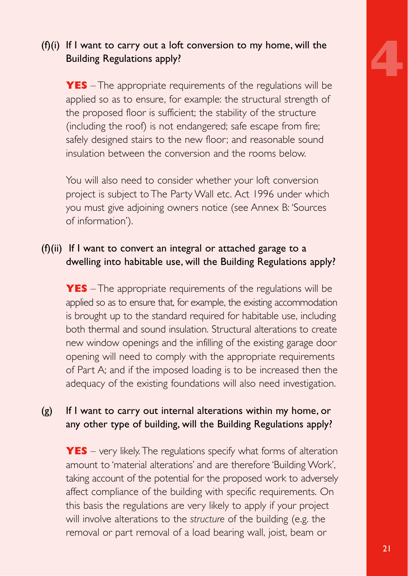

#### (f)(i) If I want to carry out a loft conversion to my home, will the Building Regulations apply?

**YES** – The appropriate requirements of the regulations will be applied so as to ensure, for example: the structural strength of the proposed floor is sufficient; the stability of the structure (including the roof) is not endangered; safe escape from fire; safely designed stairs to the new floor; and reasonable sound insulation between the conversion and the rooms below.

You will also need to consider whether your loft conversion project is subject to The Party Wall etc. Act 1996 under which you must give adjoining owners notice (see Annex B: 'Sources of information').

#### (f)(ii) If I want to convert an integral or attached garage to a dwelling into habitable use, will the Building Regulations apply?

**YES** – The appropriate requirements of the regulations will be applied so as to ensure that, for example, the existing accommodation is brought up to the standard required for habitable use, including both thermal and sound insulation. Structural alterations to create new window openings and the infilling of the existing garage door opening will need to comply with the appropriate requirements of Part A; and if the imposed loading is to be increased then the adequacy of the existing foundations will also need investigation.

#### (g) If I want to carry out internal alterations within my home, or any other type of building, will the Building Regulations apply?

**YES** – very likely. The regulations specify what forms of alteration amount to 'material alterations' and are therefore 'Building Work', taking account of the potential for the proposed work to adversely affect compliance of the building with specific requirements. On this basis the regulations are very likely to apply if your project will involve alterations to the *structure* of the building (e.g. the removal or part removal of a load bearing wall, joist, beam or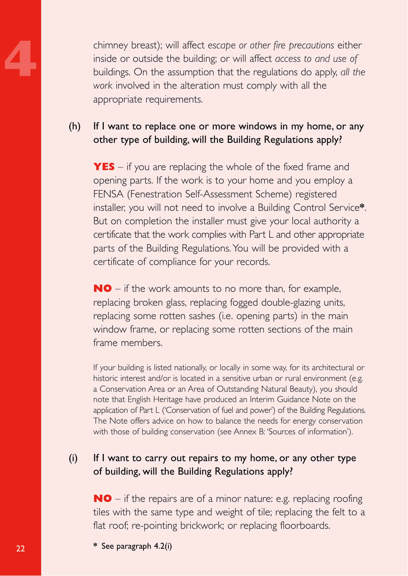chimney breast); will affect *escape or other fire precautions* either<br>inside or outside the building; or will affect *access to and use of*<br>buildings. On the assumption that the regulations do apply, *all th*<br>work involve inside or outside the building; or will affect *access to and use of* buildings. On the assumption that the regulations do apply, *all the work* involved in the alteration must comply with all the appropriate requirements.

#### (h) If I want to replace one or more windows in my home, or any other type of building, will the Building Regulations apply?

**YES** – if you are replacing the whole of the fixed frame and opening parts. If the work is to your home and you employ a FENSA (Fenestration Self-Assessment Scheme) registered installer, you will not need to involve a Building Control Service**\***. But on completion the installer must give your local authority a certificate that the work complies with Part L and other appropriate parts of the Building Regulations. You will be provided with a certificate of compliance for your records.

**NO** – if the work amounts to no more than, for example, replacing broken glass, replacing fogged double-glazing units, replacing some rotten sashes (i.e. opening parts) in the main window frame, or replacing some rotten sections of the main frame members.

If your building is listed nationally, or locally in some way, for its architectural or historic interest and/or is located in a sensitive urban or rural environment (e.g. a Conservation Area or an Area of Outstanding Natural Beauty), you should note that English Heritage have produced an Interim Guidance Note on the application of Part L ('Conservation of fuel and power') of the Building Regulations. The Note offers advice on how to balance the needs for energy conservation with those of building conservation (see Annex B: 'Sources of information').

#### (i) If I want to carry out repairs to my home, or any other type of building, will the Building Regulations apply?

**NO** – if the repairs are of a minor nature: e.g. replacing roofing tiles with the same type and weight of tile; replacing the felt to a flat roof; re-pointing brickwork; or replacing floorboards.

**\*** See paragraph 4.2(i)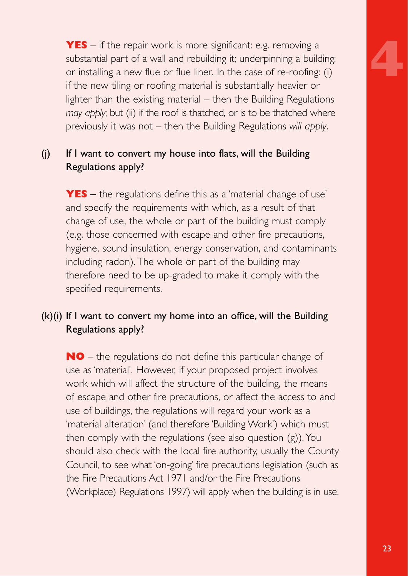**YES** – if the repair work is more significant: e.g. removing a substantial part of a wall and rebuilding it; underpinning a building; or installing a new flue or flue liner*.* In the case of re-roofing: (i) if the new tiling or roofing material is substantially heavier or lighter than the existing material – then the Building Regulations *may apply*; but (ii) if the roof is thatched, or is to be thatched where previously it was not – then the Building Regulations *will apply*.

#### (j) If I want to convert my house into flats, will the Building Regulations apply?

**YES** – the regulations define this as a 'material change of use' and specify the requirements with which, as a result of that change of use, the whole or part of the building must comply (e.g. those concerned with escape and other fire precautions, hygiene, sound insulation, energy conservation, and contaminants including radon). The whole or part of the building may therefore need to be up-graded to make it comply with the specified requirements.

#### (k)(i) If I want to convert my home into an office, will the Building Regulations apply?

**NO** – the regulations do not define this particular change of use as 'material'. However, if your proposed project involves work which will affect the structure of the building, the means of escape and other fire precautions, or affect the access to and use of buildings, the regulations will regard your work as a 'material alteration' (and therefore 'Building Work') which must then comply with the regulations (see also question (g)). You should also check with the local fire authority, usually the County Council, to see what 'on-going' fire precautions legislation (such as the Fire Precautions Act 1971 and/or the Fire Precautions (Workplace) Regulations 1997) will apply when the building is in use.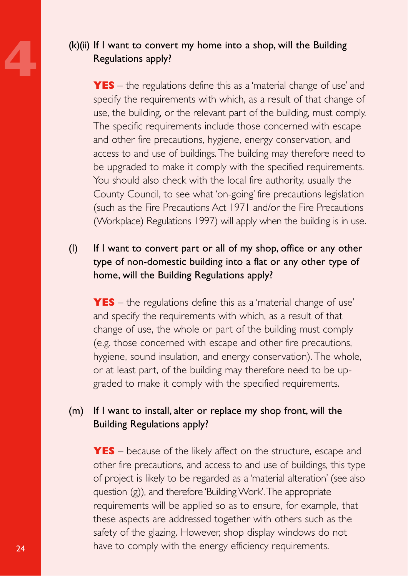#### **4** (k)(ii) If I want to convert my home into a shop, will the Building Regulations apply?

**YES** – the regulations define this as a 'material change of use' and specify the requirements with which, as a result of that change of use, the building, or the relevant part of the building, must comply. The specific requirements include those concerned with escape and other fire precautions, hygiene, energy conservation, and access to and use of buildings. The building may therefore need to be upgraded to make it comply with the specified requirements. You should also check with the local fire authority, usually the County Council, to see what 'on-going' fire precautions legislation (such as the Fire Precautions Act 1971 and/or the Fire Precautions (Workplace) Regulations 1997) will apply when the building is in use.

#### (l) If I want to convert part or all of my shop, office or any other type of non-domestic building into a flat or any other type of home, will the Building Regulations apply?

**YES** – the regulations define this as a 'material change of use' and specify the requirements with which, as a result of that change of use, the whole or part of the building must comply (e.g. those concerned with escape and other fire precautions, hygiene, sound insulation, and energy conservation). The whole, or at least part, of the building may therefore need to be upgraded to make it comply with the specified requirements.

#### (m) If I want to install, alter or replace my shop front, will the Building Regulations apply?

**YES** – because of the likely affect on the structure, escape and other fire precautions, and access to and use of buildings, this type of project is likely to be regarded as a 'material alteration' (see also question (g)), and therefore 'Building Work'.The appropriate requirements will be applied so as to ensure, for example, that these aspects are addressed together with others such as the safety of the glazing. However, shop display windows do not have to comply with the energy efficiency requirements.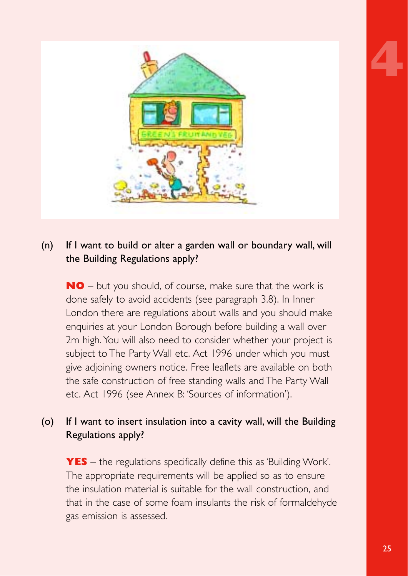



#### (n) If I want to build or alter a garden wall or boundary wall, will the Building Regulations apply?

**NO** – but you should, of course, make sure that the work is done safely to avoid accidents (see paragraph 3.8). In Inner London there are regulations about walls and you should make enquiries at your London Borough before building a wall over 2m high. You will also need to consider whether your project is subject to The Party Wall etc. Act 1996 under which you must give adjoining owners notice. Free leaflets are available on both the safe construction of free standing walls and The Party Wall etc. Act 1996 (see Annex B: 'Sources of information').

#### (o) If I want to insert insulation into a cavity wall, will the Building Regulations apply?

**YES** – the regulations specifically define this as 'Building Work'. The appropriate requirements will be applied so as to ensure the insulation material is suitable for the wall construction, and that in the case of some foam insulants the risk of formaldehyde gas emission is assessed.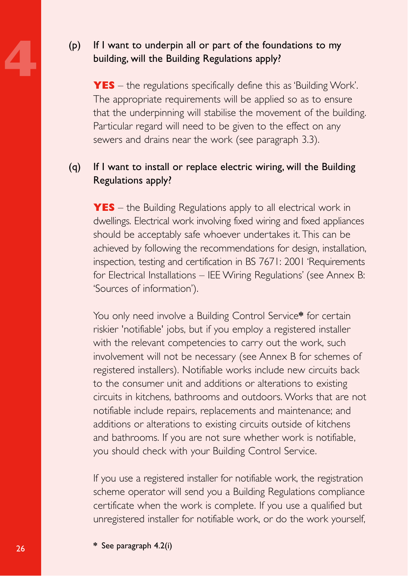#### **4** (p) If I want to underpin all or part of the foundations to my building, will the Building Regulations apply?

**YES** – the regulations specifically define this as 'Building Work'. The appropriate requirements will be applied so as to ensure that the underpinning will stabilise the movement of the building. Particular regard will need to be given to the effect on any sewers and drains near the work (see paragraph 3.3).

#### (q) If I want to install or replace electric wiring, will the Building Regulations apply?

**YES** – the Building Regulations apply to all electrical work in dwellings. Electrical work involving fixed wiring and fixed appliances should be acceptably safe whoever undertakes it. This can be achieved by following the recommendations for design, installation, inspection, testing and certification in BS 7671: 2001 'Requirements for Electrical Installations – IEE Wiring Regulations' (see Annex B: 'Sources of information').

You only need involve a Building Control Service**\*** for certain riskier 'notifiable' jobs, but if you employ a registered installer with the relevant competencies to carry out the work, such involvement will not be necessary (see Annex B for schemes of registered installers). Notifiable works include new circuits back to the consumer unit and additions or alterations to existing circuits in kitchens, bathrooms and outdoors. Works that are not notifiable include repairs, replacements and maintenance; and additions or alterations to existing circuits outside of kitchens and bathrooms. If you are not sure whether work is notifiable, you should check with your Building Control Service.

If you use a registered installer for notifiable work, the registration scheme operator will send you a Building Regulations compliance certificate when the work is complete. If you use a qualified but unregistered installer for notifiable work, or do the work yourself,

**\*** See paragraph 4.2(i)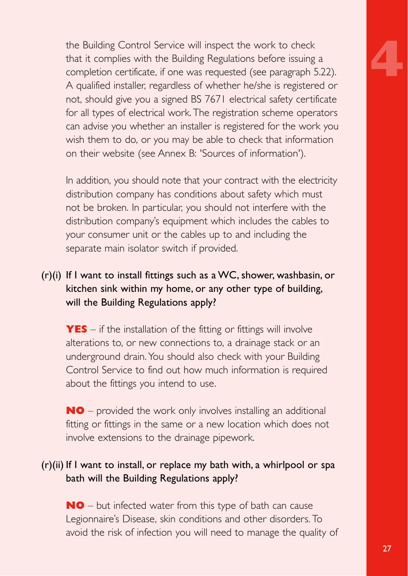the Building Control Service will inspect the work to check that it complies with the Building Regulations before issuing a completion certificate, if one was requested (see paragraph 5.22). A qualified installer, regardless of whether he/she is registered or not, should give you a signed BS 7671 electrical safety certificate for all types of electrical work. The registration scheme operators can advise you whether an installer is registered for the work you wish them to do, or you may be able to check that information on their website (see Annex B: 'Sources of information').

In addition, you should note that your contract with the electricity distribution company has conditions about safety which must not be broken. In particular, you should not interfere with the distribution company's equipment which includes the cables to your consumer unit or the cables up to and including the separate main isolator switch if provided.

#### (r)(i) If I want to install fittings such as a WC, shower, washbasin, or kitchen sink within my home, or any other type of building, will the Building Regulations apply?

**YES** – if the installation of the fitting or fittings will involve alterations to, or new connections to, a drainage stack or an underground drain. You should also check with your Building Control Service to find out how much information is required about the fittings you intend to use.

**NO** – provided the work only involves installing an additional fitting or fittings in the same or a new location which does not involve extensions to the drainage pipework.

#### (r)(ii) If I want to install, or replace my bath with, a whirlpool or spa bath will the Building Regulations apply?

**NO** – but infected water from this type of bath can cause Legionnaire's Disease, skin conditions and other disorders. To avoid the risk of infection you will need to manage the quality of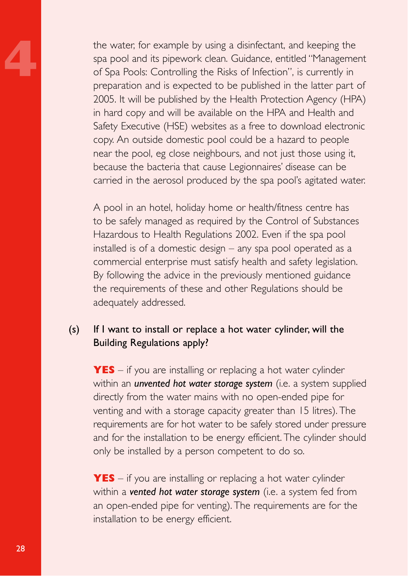the water, for example by using a disinfectant, and keeping the<br>spa pool and its pipework clean. Guidance, entitled "Manageme<br>of Spa Pools: Controlling the Risks of Infection", is currently in<br>preparation and is expected t spa pool and its pipework clean. Guidance, entitled "Management of Spa Pools: Controlling the Risks of Infection", is currently in preparation and is expected to be published in the latter part of 2005. It will be published by the Health Protection Agency (HPA) in hard copy and will be available on the HPA and Health and Safety Executive (HSE) websites as a free to download electronic copy. An outside domestic pool could be a hazard to people near the pool, eg close neighbours, and not just those using it, because the bacteria that cause Legionnaires' disease can be carried in the aerosol produced by the spa pool's agitated water.

> A pool in an hotel, holiday home or health/fitness centre has to be safely managed as required by the Control of Substances Hazardous to Health Regulations 2002. Even if the spa pool installed is of a domestic design – any spa pool operated as a commercial enterprise must satisfy health and safety legislation. By following the advice in the previously mentioned guidance the requirements of these and other Regulations should be adequately addressed.

#### (s) If I want to install or replace a hot water cylinder, will the Building Regulations apply?

**YES** – if you are installing or replacing a hot water cylinder within an *unvented hot water storage system* (i.e. a system supplied directly from the water mains with no open-ended pipe for venting and with a storage capacity greater than 15 litres). The requirements are for hot water to be safely stored under pressure and for the installation to be energy efficient. The cylinder should only be installed by a person competent to do so.

**YES** – if you are installing or replacing a hot water cylinder within a *vented hot water storage system* (i.e. a system fed from an open-ended pipe for venting). The requirements are for the installation to be energy efficient.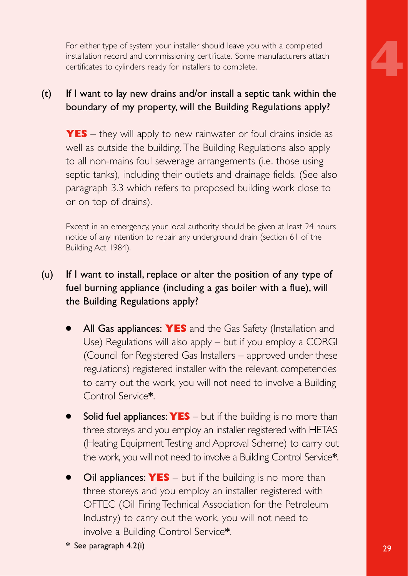For either type of system your installer should leave you with a completed installation record and commissioning certificate. Some manufacturers attach certificates to cylinders ready for installers to complete.

#### (t) If I want to lay new drains and/or install a septic tank within the boundary of my property, will the Building Regulations apply?

**YES** – they will apply to new rainwater or foul drains inside as well as outside the building. The Building Regulations also apply to all non-mains foul sewerage arrangements (i.e. those using septic tanks), including their outlets and drainage fields. (See also paragraph 3.3 which refers to proposed building work close to or on top of drains).

Except in an emergency, your local authority should be given at least 24 hours notice of any intention to repair any underground drain (section 61 of the Building Act 1984).

#### (u) If I want to install, replace or alter the position of any type of fuel burning appliance (including a gas boiler with a flue), will the Building Regulations apply?

- All Gas appliances: **YES** and the Gas Safety (Installation and Use) Regulations will also apply – but if you employ a CORGI (Council for Registered Gas Installers – approved under these regulations) registered installer with the relevant competencies to carry out the work, you will not need to involve a Building Control Service**\***.
- **Solid fuel appliances: YES** but if the building is no more than three storeys and you employ an installer registered with HETAS (Heating Equipment Testing and Approval Scheme) to carry out the work, you will not need to involve a Building Control Service**\***.
- **Oil appliances: YES** but if the building is no more than three storeys and you employ an installer registered with OFTEC (Oil Firing Technical Association for the Petroleum Industry) to carry out the work, you will not need to involve a Building Control Service**\***.
- 29 **\*** See paragraph 4.2(i)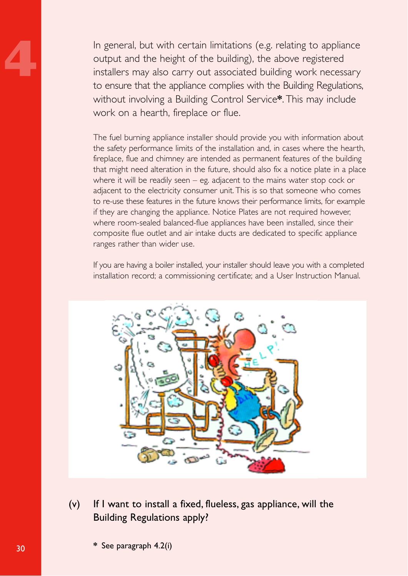**4** In general, but with certain limitations (e.g. relating to appliance output and the height of the building), the above registered installers may also carry out associated building work necessary to ensure that the appliance complies with the Building Regulations, without involving a Building Control Service**\***. This may include work on a hearth, fireplace or flue.

The fuel burning appliance installer should provide you with information about the safety performance limits of the installation and, in cases where the hearth, fireplace, flue and chimney are intended as permanent features of the building that might need alteration in the future, should also fix a notice plate in a place where it will be readily seen – eg. adjacent to the mains water stop cock or adjacent to the electricity consumer unit. This is so that someone who comes to re-use these features in the future knows their performance limits, for example if they are changing the appliance. Notice Plates are not required however, where room-sealed balanced-flue appliances have been installed, since their composite flue outlet and air intake ducts are dedicated to specific appliance ranges rather than wider use.

If you are having a boiler installed, your installer should leave you with a completed installation record; a commissioning certificate; and a User Instruction Manual.



(v) If I want to install a fixed, flueless, gas appliance, will the Building Regulations apply?

**\*** See paragraph 4.2(i)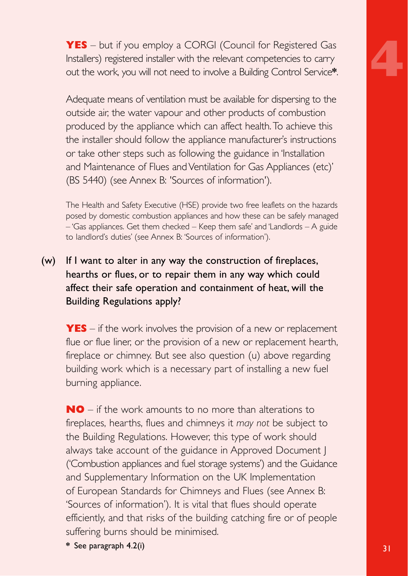**YES** – but if you employ a CORGI (Council for Registered Gas Installers) registered installer with the relevant competencies to carry out the work, you will not need to involve a Building Control Service**\***.

Adequate means of ventilation must be available for dispersing to the outside air, the water vapour and other products of combustion produced by the appliance which can affect health.To achieve this the installer should follow the appliance manufacturer's instructions or take other steps such as following the guidance in 'Installation and Maintenance of Flues and Ventilation for Gas Appliances (etc)' (BS 5440) (see Annex B: 'Sources of information').

The Health and Safety Executive (HSE) provide two free leaflets on the hazards posed by domestic combustion appliances and how these can be safely managed – 'Gas appliances. Get them checked – Keep them safe' and 'Landlords – A guide to landlord's duties' (see Annex B: 'Sources of information').

(w) If I want to alter in any way the construction of fireplaces, hearths or flues, or to repair them in any way which could affect their safe operation and containment of heat, will the Building Regulations apply?

**YES** – if the work involves the provision of a new or replacement flue or flue liner, or the provision of a new or replacement hearth, fireplace or chimney. But see also question (u) above regarding building work which is a necessary part of installing a new fuel burning appliance.

**NO** – if the work amounts to no more than alterations to fireplaces, hearths, flues and chimneys it *may not* be subject to the Building Regulations. However, this type of work should always take account of the guidance in Approved Document J ('Combustion appliances and fuel storage systems') and the Guidance and Supplementary Information on the UK Implementation of European Standards for Chimneys and Flues (see Annex B: 'Sources of information'). It is vital that flues should operate efficiently, and that risks of the building catching fire or of people suffering burns should be minimised.

**31 \*** See paragraph 4.2(i) **31**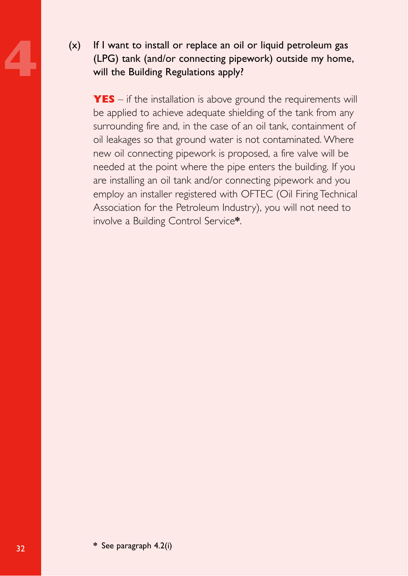**4** (x) If I want to install or replace an oil or liquid petroleum gas (LPG) tank (and/or connecting pipework) outside my home, will the Building Regulations apply?

**YES** – if the installation is above ground the requirements will be applied to achieve adequate shielding of the tank from any surrounding fire and, in the case of an oil tank, containment of oil leakages so that ground water is not contaminated. Where new oil connecting pipework is proposed, a fire valve will be needed at the point where the pipe enters the building. If you are installing an oil tank and/or connecting pipework and you employ an installer registered with OFTEC (Oil Firing Technical Association for the Petroleum Industry), you will not need to involve a Building Control Service**\***.

**\*** See paragraph 4.2(i)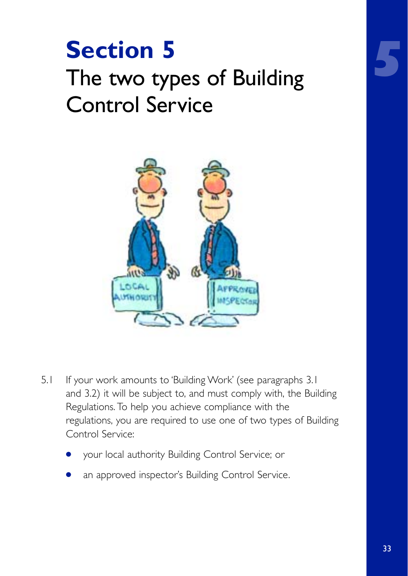## **Section 5** The two types of Building Control Service



- 5.1 If your work amounts to 'Building Work' (see paragraphs 3.1) and 3.2) it will be subject to, and must comply with, the Building Regulations. To help you achieve compliance with the regulations, you are required to use one of two types of Building Control Service:
	- your local authority Building Control Service; or
	- an approved inspector's Building Control Service.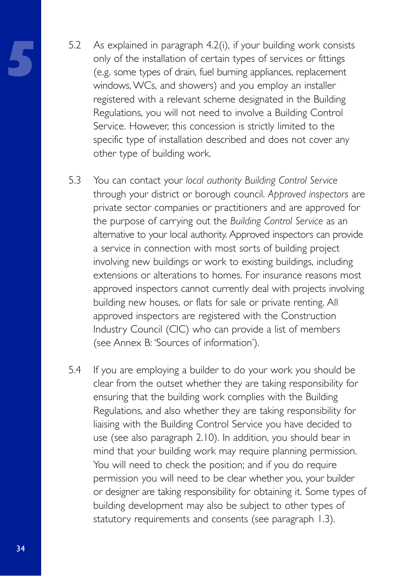- **5** 5.2 As explained in paragraph 4.2(i), if your building work consists only of the installation of certain types of services or fittings (e.g. some types of drain, fuel burning appliances, replacement windows, WCs, and showers) and you employ an installer registered with a relevant scheme designated in the Building Regulations, you will not need to involve a Building Control Service. However, this concession is strictly limited to the specific type of installation described and does not cover any other type of building work.
- 5.3 You can contact your *local authority Building Control Service* through your district or borough council. *Approved inspectors* are private sector companies or practitioners and are approved for the purpose of carrying out the *Building Control Service* as an alternative to your local authority. Approved inspectors can provide a service in connection with most sorts of building project involving new buildings or work to existing buildings, including extensions or alterations to homes. For insurance reasons most approved inspectors cannot currently deal with projects involving building new houses, or flats for sale or private renting. All approved inspectors are registered with the Construction Industry Council (CIC) who can provide a list of members (see Annex B: 'Sources of information').
- 5.4 If you are employing a builder to do your work you should be clear from the outset whether they are taking responsibility for ensuring that the building work complies with the Building Regulations, and also whether they are taking responsibility for liaising with the Building Control Service you have decided to use (see also paragraph 2.10). In addition, you should bear in mind that your building work may require planning permission. You will need to check the position; and if you do require permission you will need to be clear whether you, your builder or designer are taking responsibility for obtaining it. Some types of building development may also be subject to other types of statutory requirements and consents (see paragraph 1.3).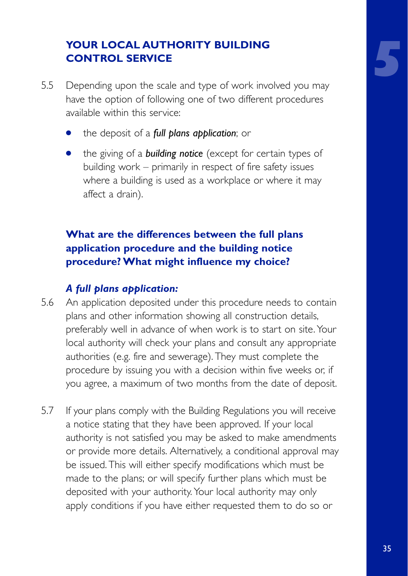#### **YOUR LOCAL AUTHORITY BUILDING CONTROL SERVICE**

- 5.5 Depending upon the scale and type of work involved you may have the option of following one of two different procedures available within this service:
	- the deposit of a *full plans application*; or
	- **•** the giving of a **building notice** (except for certain types of building work – primarily in respect of fire safety issues where a building is used as a workplace or where it may affect a drain).

#### **What are the differences between the full plans application procedure and the building notice procedure? What might influence my choice?**

#### *A full plans application:*

- 5.6 An application deposited under this procedure needs to contain plans and other information showing all construction details, preferably well in advance of when work is to start on site. Your local authority will check your plans and consult any appropriate authorities (e.g. fire and sewerage). They must complete the procedure by issuing you with a decision within five weeks or, if you agree, a maximum of two months from the date of deposit.
- 5.7 If your plans comply with the Building Regulations you will receive a notice stating that they have been approved. If your local authority is not satisfied you may be asked to make amendments or provide more details. Alternatively, a conditional approval may be issued. This will either specify modifications which must be made to the plans; or will specify further plans which must be deposited with your authority. Your local authority may only apply conditions if you have either requested them to do so or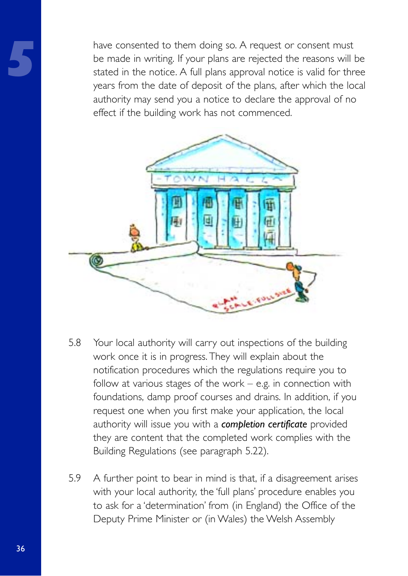**5** have consented to them doing so. A request or consent must be made in writing. If your plans are rejected the reasons will be stated in the notice. A full plans approval notice is valid for three years from the date of deposit of the plans, after which the local authority may send you a notice to declare the approval of no effect if the building work has not commenced.



- 5.8 Your local authority will carry out inspections of the building work once it is in progress. They will explain about the notification procedures which the regulations require you to follow at various stages of the work  $-$  e.g. in connection with foundations, damp proof courses and drains. In addition, if you request one when you first make your application, the local authority will issue you with a *completion certificate* provided they are content that the completed work complies with the Building Regulations (see paragraph 5.22).
- 5.9 A further point to bear in mind is that, if a disagreement arises with your local authority, the 'full plans' procedure enables you to ask for a 'determination' from (in England) the Office of the Deputy Prime Minister or (in Wales) the Welsh Assembly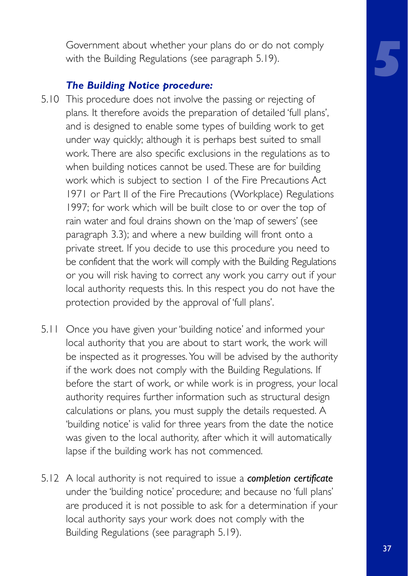Government about whether your plans do or do not comply with the Building Regulations (see paragraph 5.19).

#### *The Building Notice procedure:*

- 5.10 This procedure does not involve the passing or rejecting of plans. It therefore avoids the preparation of detailed 'full plans', and is designed to enable some types of building work to get under way quickly; although it is perhaps best suited to small work. There are also specific exclusions in the regulations as to when building notices cannot be used. These are for building work which is subject to section 1 of the Fire Precautions Act 1971 or Part II of the Fire Precautions (Workplace) Regulations 1997; for work which will be built close to or over the top of rain water and foul drains shown on the 'map of sewers' (see paragraph 3.3); and where a new building will front onto a private street. If you decide to use this procedure you need to be confident that the work will comply with the Building Regulations or you will risk having to correct any work you carry out if your local authority requests this. In this respect you do not have the protection provided by the approval of 'full plans'.
- 5.11 Once you have given your 'building notice' and informed your local authority that you are about to start work, the work will be inspected as it progresses. You will be advised by the authority if the work does not comply with the Building Regulations. If before the start of work, or while work is in progress, your local authority requires further information such as structural design calculations or plans, you must supply the details requested. A 'building notice' is valid for three years from the date the notice was given to the local authority, after which it will automatically lapse if the building work has not commenced.
- 5.12 A local authority is not required to issue a *completion certificate* under the 'building notice' procedure; and because no 'full plans' are produced it is not possible to ask for a determination if your local authority says your work does not comply with the Building Regulations (see paragraph 5.19).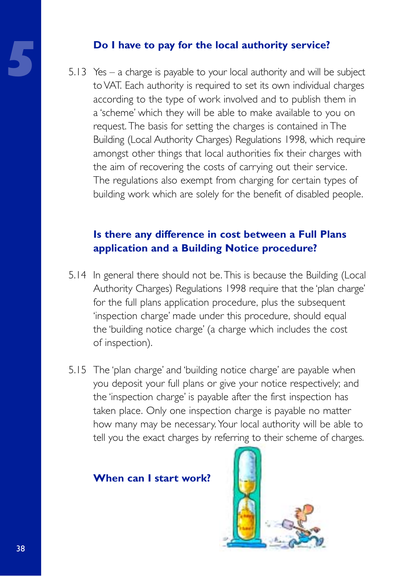**5.13 Yes – a charge is payable to your local authority service?**<br>
5.13 Yes – a charge is payable to your local authority and will b<br>
to VAT. Each authority is required to set its own individual 5.13 Yes – a charge is payable to your local authority and will be subject to VAT. Each authority is required to set its own individual charges according to the type of work involved and to publish them in a 'scheme' which they will be able to make available to you on request. The basis for setting the charges is contained in The Building (Local Authority Charges) Regulations 1998, which require amongst other things that local authorities fix their charges with the aim of recovering the costs of carrying out their service. The regulations also exempt from charging for certain types of building work which are solely for the benefit of disabled people.

#### **Is there any difference in cost between a Full Plans application and a Building Notice procedure?**

- 5.14 In general there should not be. This is because the Building (Local Authority Charges) Regulations 1998 require that the 'plan charge' for the full plans application procedure, plus the subsequent 'inspection charge' made under this procedure, should equal the 'building notice charge' (a charge which includes the cost of inspection).
- 5.15 The 'plan charge' and 'building notice charge' are payable when you deposit your full plans or give your notice respectively; and the 'inspection charge' is payable after the first inspection has taken place. Only one inspection charge is payable no matter how many may be necessary. Your local authority will be able to tell you the exact charges by referring to their scheme of charges.

#### **When can I start work?**

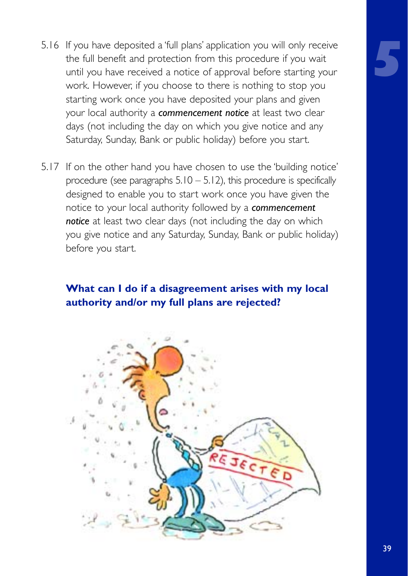- 5.16 If you have deposited a 'full plans' application you will only receive the full benefit and protection from this procedure if you wait until you have received a notice of approval before starting your work. However, if you choose to there is nothing to stop you starting work once you have deposited your plans and given your local authority a *commencement notice* at least two clear days (not including the day on which you give notice and any Saturday, Sunday, Bank or public holiday) before you start.
- 5.17 If on the other hand you have chosen to use the 'building notice' procedure (see paragraphs  $5.10 - 5.12$ ), this procedure is specifically designed to enable you to start work once you have given the notice to your local authority followed by a *commencement notice* at least two clear days (not including the day on which you give notice and any Saturday, Sunday, Bank or public holiday) before you start.

#### **What can I do if a disagreement arises with my local authority and/or my full plans are rejected?**

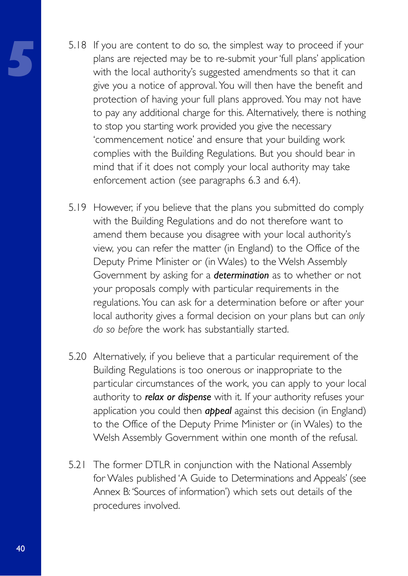- **5** 5.18 If you are content to do so, the simplest way to proceed if your plans are rejected may be to re-submit your 'full plans' application with the local authority's suggested amendments so that it can give you a notice of approval. You will then have the benefit and protection of having your full plans approved. You may not have to pay any additional charge for this. Alternatively, there is nothing to stop you starting work provided you give the necessary 'commencement notice' and ensure that your building work complies with the Building Regulations. But you should bear in mind that if it does not comply your local authority may take enforcement action (see paragraphs 6.3 and 6.4).
- 5.19 However, if you believe that the plans you submitted do comply with the Building Regulations and do not therefore want to amend them because you disagree with your local authority's view, you can refer the matter (in England) to the Office of the Deputy Prime Minister or (in Wales) to the Welsh Assembly Government by asking for a *determination* as to whether or not your proposals comply with particular requirements in the regulations. You can ask for a determination before or after your local authority gives a formal decision on your plans but can *only do so before* the work has substantially started.
- 5.20 Alternatively, if you believe that a particular requirement of the Building Regulations is too onerous or inappropriate to the particular circumstances of the work, you can apply to your local authority to *relax or dispense* with it. If your authority refuses your application you could then *appeal* against this decision (in England) to the Office of the Deputy Prime Minister or (in Wales) to the Welsh Assembly Government within one month of the refusal.
- 5.21 The former DTLR in conjunction with the National Assembly for Wales published 'A Guide to Determinations and Appeals' (see Annex B: 'Sources of information') which sets out details of the procedures involved.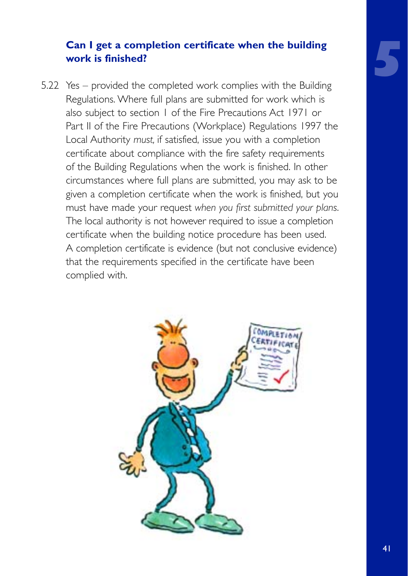#### **Can I get a completion certificate when the building work is finished?**

5.22 Yes – provided the completed work complies with the Building Regulations. Where full plans are submitted for work which is also subject to section 1 of the Fire Precautions Act 1971 or Part II of the Fire Precautions (Workplace) Regulations 1997 the Local Authority *must,* if satisfied, issue you with a completion certificate about compliance with the fire safety requirements of the Building Regulations when the work is finished. In other circumstances where full plans are submitted, you may ask to be given a completion certificate when the work is finished, but you must have made your request *when you first submitted your plans*. The local authority is not however required to issue a completion certificate when the building notice procedure has been used. A completion certificate is evidence (but not conclusive evidence) that the requirements specified in the certificate have been complied with.

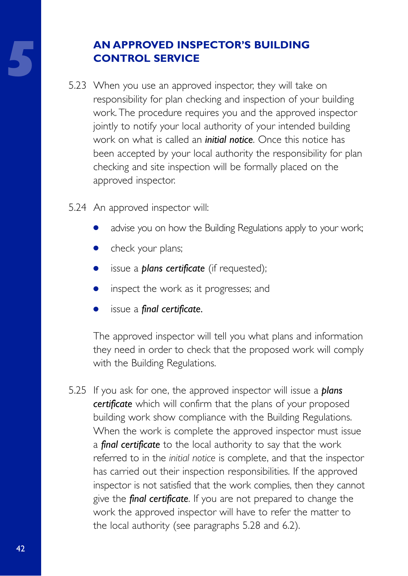## **5 AN APPROVED INSPECTOR'S BUILDING**<br>
5.23 When you use an approved inspector, they will take on **CONTROL SERVICE**

- responsibility for plan checking and inspection of your building work. The procedure requires you and the approved inspector jointly to notify your local authority of your intended building work on what is called an *initial notice*. Once this notice has been accepted by your local authority the responsibility for plan checking and site inspection will be formally placed on the approved inspector.
- 5.24 An approved inspector will:
	- advise you on how the Building Regulations apply to your work;
	- check your plans;
	- issue a *plans certificate* (if requested);
	- inspect the work as it progresses; and
	- issue a *final certificate*.

The approved inspector will tell you what plans and information they need in order to check that the proposed work will comply with the Building Regulations.

5.25 If you ask for one, the approved inspector will issue a *plans certificate* which will confirm that the plans of your proposed building work show compliance with the Building Regulations. When the work is complete the approved inspector must issue a *final certificate* to the local authority to say that the work referred to in the *initial notice* is complete, and that the inspector has carried out their inspection responsibilities. If the approved inspector is not satisfied that the work complies, then they cannot give the *final certificate*. If you are not prepared to change the work the approved inspector will have to refer the matter to the local authority (see paragraphs 5.28 and 6.2).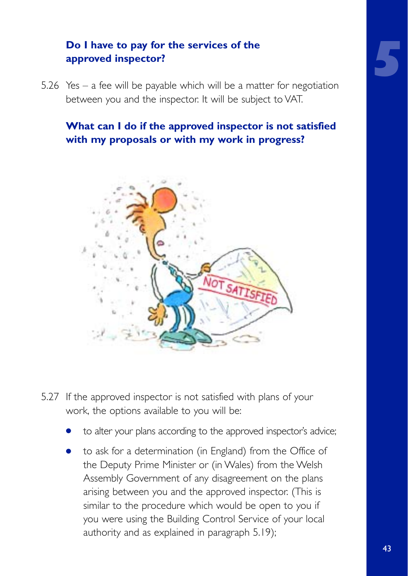# **5**

#### **Do I have to pay for the services of the approved inspector?**

5.26 Yes – a fee will be payable which will be a matter for negotiation between you and the inspector. It will be subject to VAT.

#### **What can I do if the approved inspector is not satisfied with my proposals or with my work in progress?**



- 5.27 If the approved inspector is not satisfied with plans of your work, the options available to you will be:
	- to alter your plans according to the approved inspector's advice;
	- to ask for a determination (in England) from the Office of the Deputy Prime Minister or (in Wales) from the Welsh Assembly Government of any disagreement on the plans arising between you and the approved inspector. (This is similar to the procedure which would be open to you if you were using the Building Control Service of your local authority and as explained in paragraph 5.19);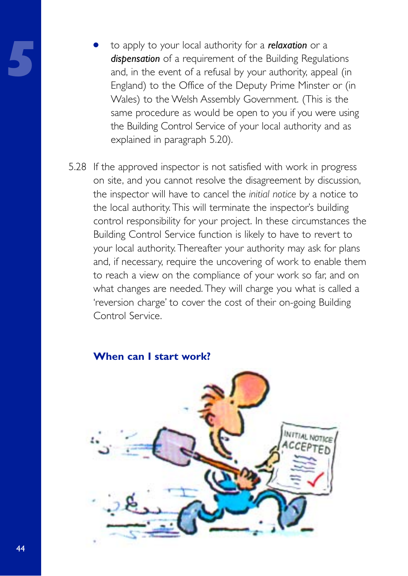- to apply to your local authority for a *relaxation* or a *dispensation* of a requirement of the Building Regulations and, in the event of a refusal by your authority, appeal (in England) to the Office of the Deputy Prime Minster or (in Wales) to the Welsh Assembly Government. (This is the same procedure as would be open to you if you were using the Building Control Service of your local authority and as explained in paragraph 5.20).
- 5.28 If the approved inspector is not satisfied with work in progress on site, and you cannot resolve the disagreement by discussion, the inspector will have to cancel the *initial notice* by a notice to the local authority. This will terminate the inspector's building control responsibility for your project. In these circumstances the Building Control Service function is likely to have to revert to your local authority. Thereafter your authority may ask for plans and, if necessary, require the uncovering of work to enable them to reach a view on the compliance of your work so far, and on what changes are needed. They will charge you what is called a 'reversion charge' to cover the cost of their on-going Building Control Service.

#### **When can I start work?**

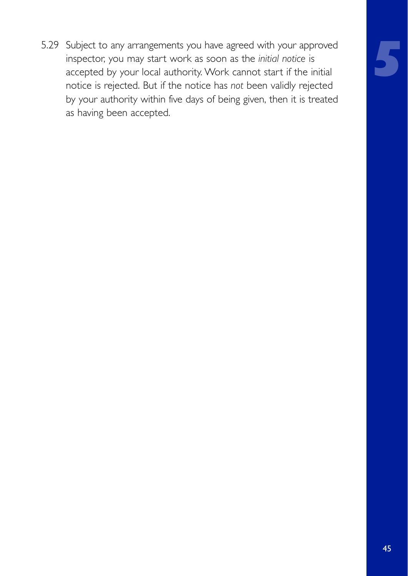5.29 Subject to any arrangements you have agreed with your approved inspector, you may start work as soon as the *initial notice* is accepted by your local authority. Work cannot start if the initial notice is rejected. But if the notice has *not* been validly rejected by your authority within five days of being given, then it is treated as having been accepted.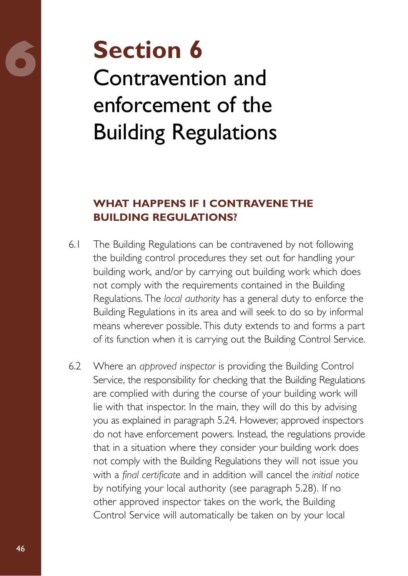## **6 Section 6** Contravention and enforcement of the Building Regulations

#### **WHAT HAPPENS IF I CONTRAVENE THE BUILDING REGULATIONS?**

- 6.1 The Building Regulations can be contravened by not following the building control procedures they set out for handling your building work, and/or by carrying out building work which does not comply with the requirements contained in the Building Regulations. The *local authority* has a general duty to enforce the Building Regulations in its area and will seek to do so by informal means wherever possible. This duty extends to and forms a part of its function when it is carrying out the Building Control Service.
- 6.2 Where an *approved inspector* is providing the Building Control Service, the responsibility for checking that the Building Regulations are complied with during the course of your building work will lie with that inspector. In the main, they will do this by advising you as explained in paragraph 5.24. However, approved inspectors do not have enforcement powers. Instead, the regulations provide that in a situation where they consider your building work does not comply with the Building Regulations they will not issue you with a *final certificate* and in addition will cancel the *initial notice* by notifying your local authority (see paragraph 5.28). If no other approved inspector takes on the work, the Building Control Service will automatically be taken on by your local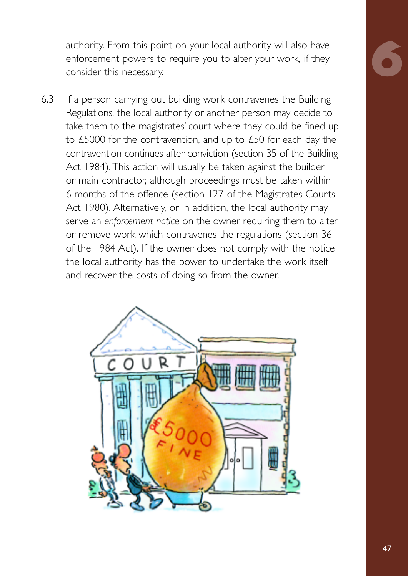authority. From this point on your local authority will also have enforcement powers to require you to alter your work, if they consider this necessary.

6.3 If a person carrying out building work contravenes the Building Regulations, the local authority or another person may decide to take them to the magistrates' court where they could be fined up to £5000 for the contravention, and up to £50 for each day the contravention continues after conviction (section 35 of the Building Act 1984). This action will usually be taken against the builder or main contractor, although proceedings must be taken within 6 months of the offence (section 127 of the Magistrates Courts Act 1980). Alternatively, or in addition, the local authority may serve an *enforcement notice* on the owner requiring them to alter or remove work which contravenes the regulations (section 36 of the 1984 Act). If the owner does not comply with the notice the local authority has the power to undertake the work itself and recover the costs of doing so from the owner.

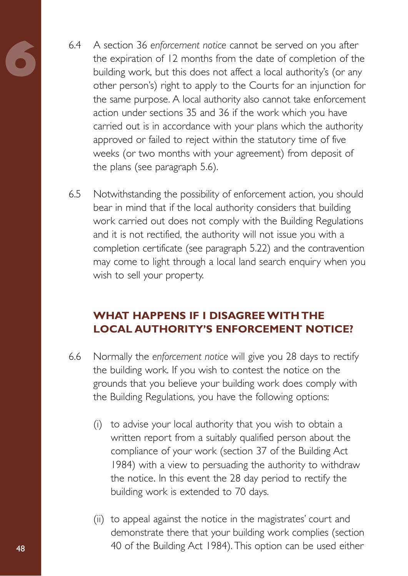- **6** 6.4 A section 36 *enforcement notice* cannot be served on you after the expiration of 12 months from the date of completion of the building work, but this does not affect a local authority's (or any other person's) right to apply to the Courts for an injunction for the same purpose. A local authority also cannot take enforcement action under sections 35 and 36 if the work which you have carried out is in accordance with your plans which the authority approved or failed to reject within the statutory time of five weeks (or two months with your agreement) from deposit of the plans (see paragraph 5.6).
- 6.5 Notwithstanding the possibility of enforcement action, you should bear in mind that if the local authority considers that building work carried out does not comply with the Building Regulations and it is not rectified, the authority will not issue you with a completion certificate (see paragraph 5.22) and the contravention may come to light through a local land search enquiry when you wish to sell your property.

#### **WHAT HAPPENS IF I DISAGREE WITH THE LOCAL AUTHORITY'S ENFORCEMENT NOTICE?**

- 6.6 Normally the *enforcement notice* will give you 28 days to rectify the building work. If you wish to contest the notice on the grounds that you believe your building work does comply with the Building Regulations, you have the following options:
	- (i) to advise your local authority that you wish to obtain a written report from a suitably qualified person about the compliance of your work (section 37 of the Building Act 1984) with a view to persuading the authority to withdraw the notice. In this event the 28 day period to rectify the building work is extended to 70 days.
	- (ii) to appeal against the notice in the magistrates' court and demonstrate there that your building work complies (section 40 of the Building Act 1984). This option can be used either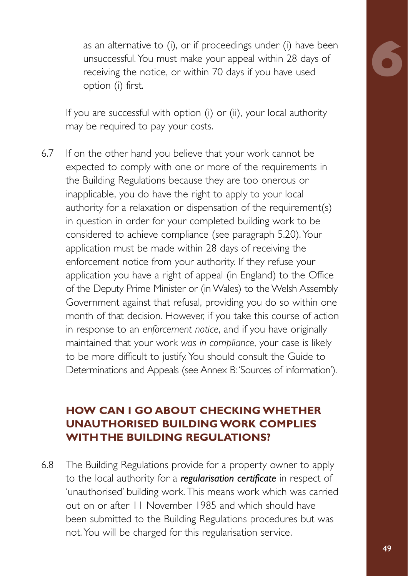as an alternative to (i), or if proceedings under (i) have been unsuccessful. You must make your appeal within 28 days of receiving the notice, or within 70 days if you have used option (i) first.

If you are successful with option (i) or (ii), your local authority may be required to pay your costs.

6.7 If on the other hand you believe that your work cannot be expected to comply with one or more of the requirements in the Building Regulations because they are too onerous or inapplicable, you do have the right to apply to your local authority for a relaxation or dispensation of the requirement(s) in question in order for your completed building work to be considered to achieve compliance (see paragraph 5.20). Your application must be made within 28 days of receiving the enforcement notice from your authority. If they refuse your application you have a right of appeal (in England) to the Office of the Deputy Prime Minister or (in Wales) to the Welsh Assembly Government against that refusal, providing you do so within one month of that decision. However, if you take this course of action in response to an *enforcement notice*, and if you have originally maintained that your work *was in compliance*, your case is likely to be more difficult to justify. You should consult the Guide to Determinations and Appeals (see Annex B: 'Sources of information').

#### **HOW CAN I GO ABOUT CHECKING WHETHER UNAUTHORISED BUILDING WORK COMPLIES WITH THE BUILDING REGULATIONS?**

6.8 The Building Regulations provide for a property owner to apply to the local authority for a *regularisation certificate* in respect of 'unauthorised' building work. This means work which was carried out on or after 11 November 1985 and which should have been submitted to the Building Regulations procedures but was not. You will be charged for this regularisation service.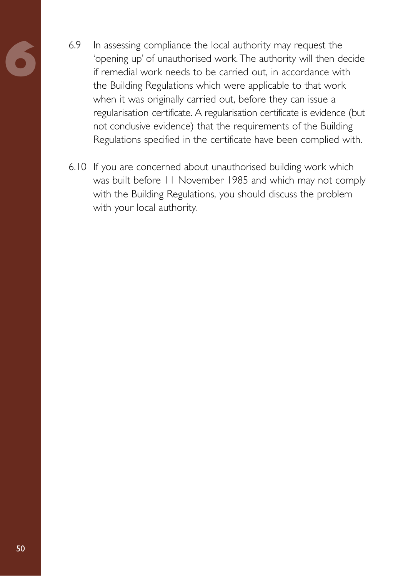- 6.9 In assessing compliance the local authority may request the 'opening up' of unauthorised work. The authority will then decide if remedial work needs to be carried out, in accordance with the Building Regulations which were applicable to that work when it was originally carried out, before they can issue a regularisation certificate. A regularisation certificate is evidence (but not conclusive evidence) that the requirements of the Building Regulations specified in the certificate have been complied with.
- 6.10 If you are concerned about unauthorised building work which was built before 11 November 1985 and which may not comply with the Building Regulations, you should discuss the problem with your local authority.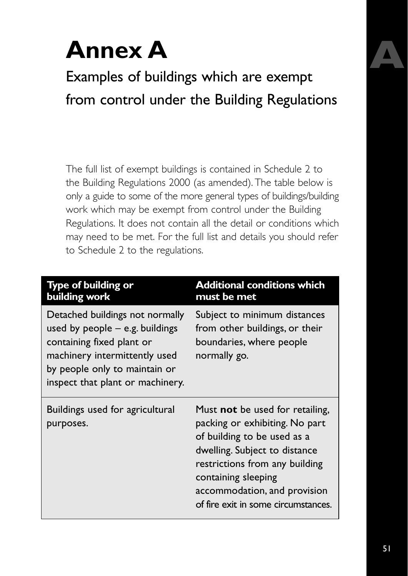## **Annex A**

Examples of buildings which are exempt from control under the Building Regulations

The full list of exempt buildings is contained in Schedule 2 to the Building Regulations 2000 (as amended). The table below is only a guide to some of the more general types of buildings/building work which may be exempt from control under the Building Regulations. It does not contain all the detail or conditions which may need to be met. For the full list and details you should refer to Schedule 2 to the regulations.

| <b>Type of building or</b><br>building work                                                                                                                                                             | <b>Additional conditions which</b><br>must be met                                                                                                                                                                                                                        |
|---------------------------------------------------------------------------------------------------------------------------------------------------------------------------------------------------------|--------------------------------------------------------------------------------------------------------------------------------------------------------------------------------------------------------------------------------------------------------------------------|
| Detached buildings not normally<br>used by people $-$ e.g. buildings<br>containing fixed plant or<br>machinery intermittently used<br>by people only to maintain or<br>inspect that plant or machinery. | Subject to minimum distances<br>from other buildings, or their<br>boundaries, where people<br>normally go.                                                                                                                                                               |
| Buildings used for agricultural<br>purposes.                                                                                                                                                            | Must <b>not</b> be used for retailing,<br>packing or exhibiting. No part<br>of building to be used as a<br>dwelling. Subject to distance<br>restrictions from any building<br>containing sleeping<br>accommodation, and provision<br>of fire exit in some circumstances. |

**A**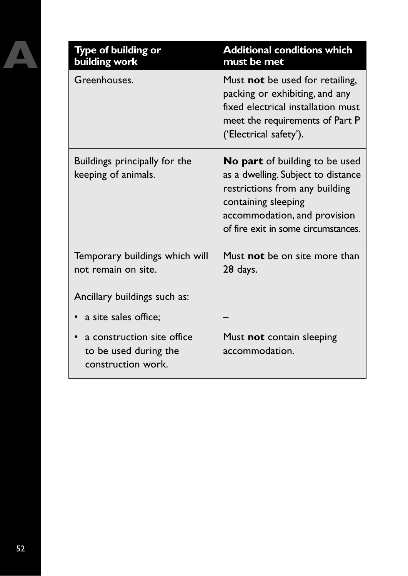| Type of building or<br>building work                                      | <b>Additional conditions which</b><br>must be met                                                                                                                                                    |
|---------------------------------------------------------------------------|------------------------------------------------------------------------------------------------------------------------------------------------------------------------------------------------------|
| Greenhouses.                                                              | Must not be used for retailing,<br>packing or exhibiting, and any<br>fixed electrical installation must<br>meet the requirements of Part P<br>('Electrical safety').                                 |
| Buildings principally for the<br>keeping of animals.                      | No part of building to be used<br>as a dwelling. Subject to distance<br>restrictions from any building<br>containing sleeping<br>accommodation, and provision<br>of fire exit in some circumstances. |
| Temporary buildings which will<br>not remain on site.                     | Must not be on site more than<br>28 days.                                                                                                                                                            |
| Ancillary buildings such as:                                              |                                                                                                                                                                                                      |
| a site sales office;                                                      |                                                                                                                                                                                                      |
| a construction site office<br>to be used during the<br>construction work. | Must not contain sleeping<br>accommodation.                                                                                                                                                          |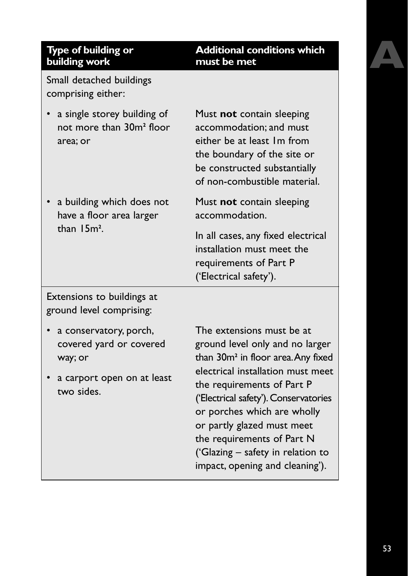## **A**

#### **Type of building or building work**

Small detached buildings comprising either:

- a single storey building of not more than 30m**<sup>2</sup>** floor area; or
- a building which does not have a floor area larger than 15m**<sup>2</sup>** .

Must **not** contain sleeping accommodation; and must either be at least 1m from the boundary of the site or be constructed substantially of non-combustible material.

**Additional conditions which**

**must be met**

Must **not** contain sleeping accommodation.

In all cases, any fixed electrical installation must meet the requirements of Part P ('Electrical safety').

Extensions to buildings at ground level comprising:

- a conservatory, porch, covered yard or covered way; or
- a carport open on at least two sides.

The extensions must be at ground level only and no larger than 30m**<sup>2</sup>** in floor area.Any fixed electrical installation must meet the requirements of Part P ('Electrical safety').Conservatories or porches which are wholly or partly glazed must meet the requirements of Part N ('Glazing – safety in relation to impact, opening and cleaning').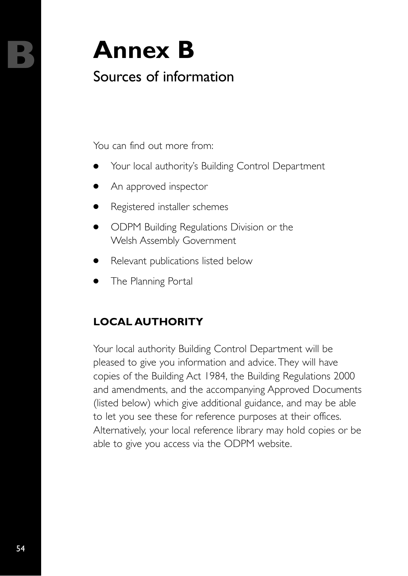## **B Annex B**

### Sources of information

You can find out more from:

- Your local authority's Building Control Department
- An approved inspector
- Registered installer schemes
- ODPM Building Regulations Division or the Welsh Assembly Government
- Relevant publications listed below
- The Planning Portal

### **LOCAL AUTHORITY**

Your local authority Building Control Department will be pleased to give you information and advice. They will have copies of the Building Act 1984, the Building Regulations 2000 and amendments, and the accompanying Approved Documents (listed below) which give additional guidance, and may be able to let you see these for reference purposes at their offices. Alternatively, your local reference library may hold copies or be able to give you access via the ODPM website.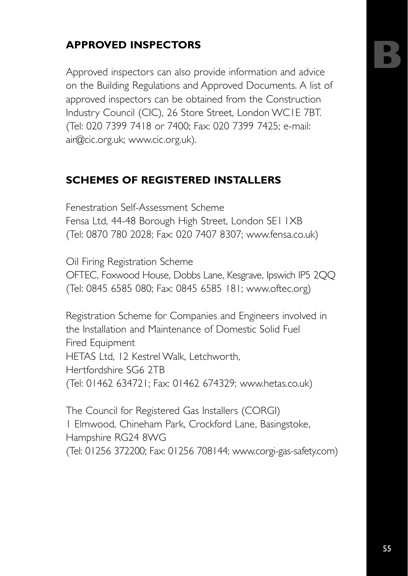## **B**

#### **APPROVED INSPECTORS**

Approved inspectors can also provide information and advice on the Building Regulations and Approved Documents. A list of approved inspectors can be obtained from the Construction Industry Council (CIC), 26 Store Street, London WC1E 7BT. (Tel: 020 7399 7418 or 7400; Fax: 020 7399 7425; e-mail: air@cic.org.uk; www.cic.org.uk).

#### **SCHEMES OF REGISTERED INSTALLERS**

Fenestration Self-Assessment Scheme

Fensa Ltd, 44-48 Borough High Street, London SE1 1XB (Tel: 0870 780 2028; Fax: 020 7407 8307; www.fensa.co.uk)

Oil Firing Registration Scheme

OFTEC, Foxwood House, Dobbs Lane, Kesgrave, Ipswich IP5 2QQ (Tel: 0845 6585 080; Fax: 0845 6585 181; www.oftec.org)

Registration Scheme for Companies and Engineers involved in the Installation and Maintenance of Domestic Solid Fuel Fired Equipment HETAS Ltd, 12 Kestrel Walk, Letchworth, Hertfordshire SG6 2TB (Tel: 01462 634721; Fax: 01462 674329; www.hetas.co.uk)

The Council for Registered Gas Installers (CORGI) 1 Elmwood, Chineham Park, Crockford Lane, Basingstoke, Hampshire RG24 8WG (Tel: 01256 372200; Fax: 01256 708144; www.corgi-gas-safety.com)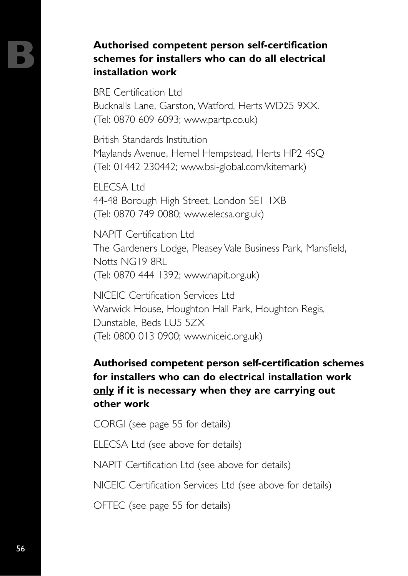#### **B Authorised competent person self-certification schemes for installers who can do all electrical installation work**

BRE Certification Ltd Bucknalls Lane, Garston, Watford, Herts WD25 9XX. (Tel: 0870 609 6093; www.partp.co.uk)

British Standards Institution Maylands Avenue, Hemel Hempstead, Herts HP2 4SQ (Tel: 01442 230442; www.bsi-global.com/kitemark)

ELECSA Ltd 44-48 Borough High Street, London SE1 1XB (Tel: 0870 749 0080; www.elecsa.org.uk)

NAPIT Certification Ltd The Gardeners Lodge, Pleasey Vale Business Park, Mansfield, Notts NG19 8RL (Tel: 0870 444 1392; www.napit.org.uk)

NICEIC Certification Services Ltd Warwick House, Houghton Hall Park, Houghton Regis, Dunstable, Beds LU5 5ZX (Tel: 0800 013 0900; www.niceic.org.uk)

#### **Authorised competent person self-certification schemes for installers who can do electrical installation work only if it is necessary when they are carrying out other work**

CORGI (see page 55 for details)

ELECSA Ltd (see above for details)

NAPIT Certification Ltd (see above for details)

NICEIC Certification Services Ltd (see above for details)

OFTEC (see page 55 for details)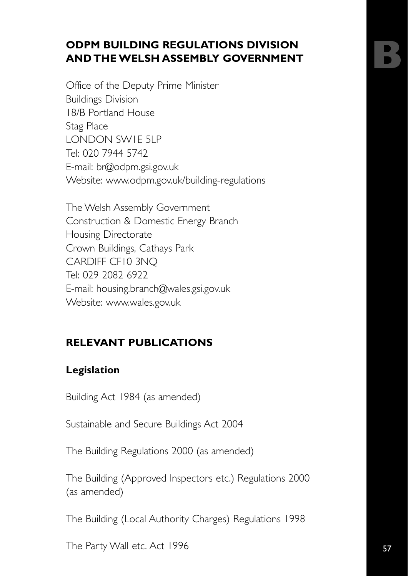#### **ODPM BUILDING REGULATIONS DIVISION AND THE WELSH ASSEMBLY GOVERNMENT**

Office of the Deputy Prime Minister Buildings Division 18/B Portland House Stag Place LONDON SW1E 5LP Tel: 020 7944 5742 E-mail: br@odpm.gsi.gov.uk Website: www.odpm.gov.uk/building-regulations

The Welsh Assembly Government Construction & Domestic Energy Branch Housing Directorate Crown Buildings, Cathays Park CARDIFF CF10 3NQ Tel: 029 2082 6922 E-mail: housing.branch@wales.gsi.gov.uk Website: www.wales.gov.uk

#### **RELEVANT PUBLICATIONS**

#### **Legislation**

Building Act 1984 (as amended)

Sustainable and Secure Buildings Act 2004

The Building Regulations 2000 (as amended)

The Building (Approved Inspectors etc.) Regulations 2000 (as amended)

The Building (Local Authority Charges) Regulations 1998

The Party Wall etc. Act 1996

**B**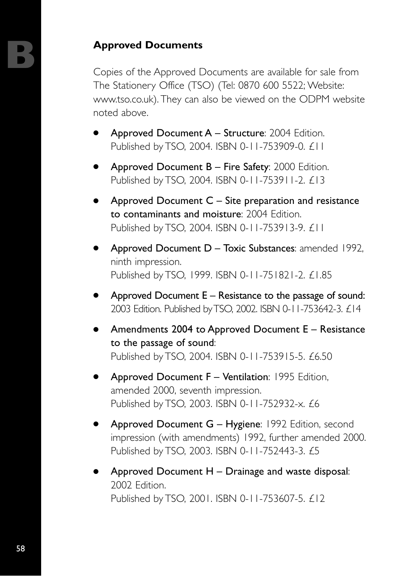**Approved Documents**<br>
Copies of the Approved Documents are available for sale from The Stationery Office (TSO) (Tel: 0870 600 5522; Website: www.tso.co.uk). They can also be viewed on the ODPM website noted above.

- Approved Document  $A -$  Structure: 2004 Edition. Published by TSO, 2004. ISBN 0-11-753909-0. £11
- Approved Document  $B -$  Fire Safety: 2000 Edition. Published by TSO, 2004. ISBN 0-11-753911-2. £13
- Approved Document  $C -$  Site preparation and resistance to contaminants and moisture: 2004 Edition. Published by TSO, 2004. ISBN 0-11-753913-9. £11
- Approved Document  $D -$  Toxic Substances: amended 1992, ninth impression. Published by TSO, 1999. ISBN 0-11-751821-2. £1.85
- Approved Document  $E -$  Resistance to the passage of sound: 2003 Edition. Published by TSO, 2002. ISBN 0-11-753642-3. £14
- Amendments 2004 to Approved Document  $E -$  Resistance to the passage of sound: Published by TSO, 2004. ISBN 0-11-753915-5. £6.50
- $\bullet$  Approved Document  $F -$  Ventilation: 1995 Edition, amended 2000, seventh impression. Published by TSO, 2003. ISBN 0-11-752932-x. £6
- Approved Document  $G H$ ygiene: 1992 Edition, second impression (with amendments) 1992, further amended 2000. Published by TSO, 2003. ISBN 0-11-752443-3. £5
- Approved Document  $H D$ rainage and waste disposal: 2002 Edition. Published by TSO, 2001. ISBN 0-11-753607-5. £12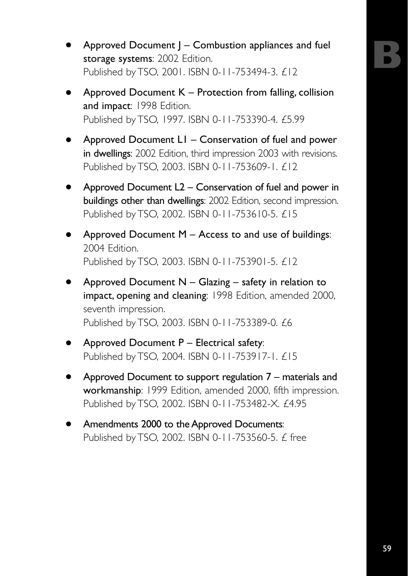- Approved Document  $J -$  Combustion appliances and fuel storage systems: 2002 Edition. Published by TSO, 2001. ISBN 0-11-753494-3. £12
- Approved Document  $K$  Protection from falling, collision and impact: 1998 Edition. Published by TSO, 1997. ISBN 0-11-753390-4. £5.99
- Approved Document  $LI -$  Conservation of fuel and power in dwellings: 2002 Edition, third impression 2003 with revisions. Published by TSO, 2003. ISBN 0-11-753609-1. £12
- Approved Document  $L2$  Conservation of fuel and power in buildings other than dwellings: 2002 Edition, second impression. Published by TSO, 2002. ISBN 0-11-753610-5. £15
- Approved Document  $M -$  Access to and use of buildings: 2004 Edition. Published by TSO, 2003. ISBN 0-11-753901-5. £12
- Approved Document  $N -$  Glazing safety in relation to impact, opening and cleaning: 1998 Edition, amended 2000, seventh impression. Published by TSO, 2003. ISBN 0-11-753389-0. £6
- Approved Document  $P$  Electrical safety: Published by TSO, 2004. ISBN 0-11-753917-1. £15
- Approved Document to support regulation  $7$  materials and workmanship: 1999 Edition, amended 2000, fifth impression. Published by TSO, 2002. ISBN 0-11-753482-X. £4.95
- Amendments 2000 to the Approved Documents: Published by TSO, 2002. ISBN 0-11-753560-5. £ free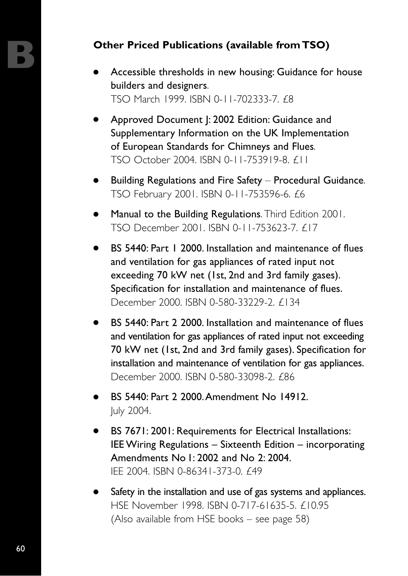#### **Other Priced Publications (available from TSO)**

- Accessible thresholds in new housing: Guidance for house builders and designers. TSO March 1999. ISBN 0-11-702333-7. £8
- Approved Document |: 2002 Edition: Guidance and Supplementary Information on the UK Implementation of European Standards for Chimneys and Flues. TSO October 2004. ISBN 0-11-753919-8. £11
- Building Regulations and Fire Safety Procedural Guidance. TSO February 2001. ISBN 0-11-753596-6. £6
- Manual to the Building Regulations. Third Edition 2001. TSO December 2001. ISBN 0-11-753623-7. £17
- BS 5440: Part 1 2000. Installation and maintenance of flues and ventilation for gas appliances of rated input not exceeding 70 kW net (1st, 2nd and 3rd family gases). Specification for installation and maintenance of flues. December 2000. ISBN 0-580-33229-2. £134
- BS 5440: Part 2 2000. Installation and maintenance of flues and ventilation for gas appliances of rated input not exceeding 70 kW net (1st, 2nd and 3rd family gases). Specification for installation and maintenance of ventilation for gas appliances. December 2000. ISBN 0-580-33098-2. £86
- BS 5440: Part 2 2000. Amendment No 14912. July 2004.
- BS 7671: 2001: Requirements for Electrical Installations: IEE Wiring Regulations – Sixteenth Edition – incorporating Amendments No 1: 2002 and No 2: 2004. IEE 2004. ISBN 0-86341-373-0. £49
- Safety in the installation and use of gas systems and appliances. HSE November 1998. ISBN 0-717-61635-5. £10.95 (Also available from HSE books – see page 58)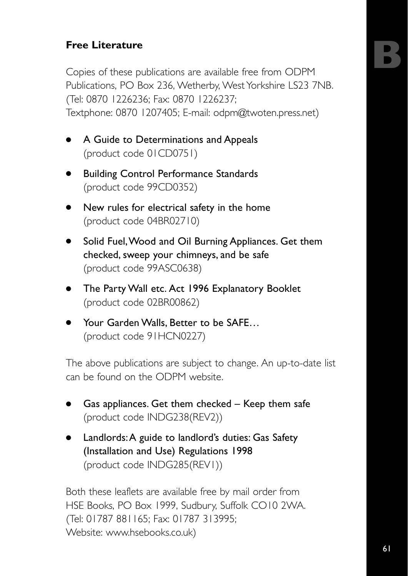#### **Free Literature**

Copies of these publications are available free from ODPM Publications, PO Box 236, Wetherby, West Yorkshire LS23 7NB. (Tel: 0870 1226236; Fax: 0870 1226237; Textphone: 0870 1207405; E-mail: odpm@twoten.press.net)

- A Guide to Determinations and Appeals (product code 01CD0751)
- Building Control Performance Standards (product code 99CD0352)
- New rules for electrical safety in the home (product code 04BR02710)
- Solid Fuel, Wood and Oil Burning Appliances. Get them checked, sweep your chimneys, and be safe (product code 99ASC0638)
- The Party Wall etc. Act 1996 Explanatory Booklet (product code 02BR00862)
- Your Garden Walls, Better to be SAFE... (product code 91HCN0227)

The above publications are subject to change. An up-to-date list can be found on the ODPM website.

- $\bullet$  Gas appliances. Get them checked Keep them safe (product code INDG238(REV2))
- Landlords: A guide to landlord's duties: Gas Safety (Installation and Use) Regulations 1998 (product code INDG285(REV1))

Both these leaflets are available free by mail order from HSE Books, PO Box 1999, Sudbury, Suffolk CO10 2WA. (Tel: 01787 881165; Fax: 01787 313995; Website: www.hsebooks.co.uk)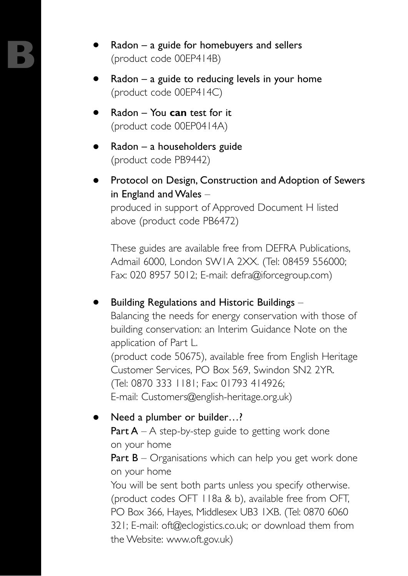- $Radon a$  guide for homebuyers and sellers (product code 00EP414B)
- $Radon a$  guide to reducing levels in your home (product code 00EP414C)
- Radon You **can** test for it (product code 00EP0414A)
- $Radon a$  householders guide (product code PB9442)
- Protocol on Design, Construction and Adoption of Sewers in England and Wales  $-$

produced in support of Approved Document H listed above (product code PB6472)

These guides are available free from DEFRA Publications, Admail 6000, London SW1A 2XX. (Tel: 08459 556000; Fax: 020 8957 5012; E-mail: defra@iforcegroup.com)

Building Regulations and Historic Buildings  $-$ Balancing the needs for energy conservation with those of building conservation: an Interim Guidance Note on the application of Part L. (product code 50675), available free from English Heritage Customer Services, PO Box 569, Swindon SN2 2YR. (Tel: 0870 333 1181; Fax: 01793 414926; E-mail: Customers@english-heritage.org.uk)

Need a plumber or builder...? **Part A** – A step-by-step guide to getting work done

on your home

**Part B** – Organisations which can help you get work done on your home

You will be sent both parts unless you specify otherwise. (product codes OFT 118a & b), available free from OFT, PO Box 366, Hayes, Middlesex UB3 1XB. (Tel: 0870 6060 321; E-mail: oft@eclogistics.co.uk; or download them from the Website: www.oft.gov.uk)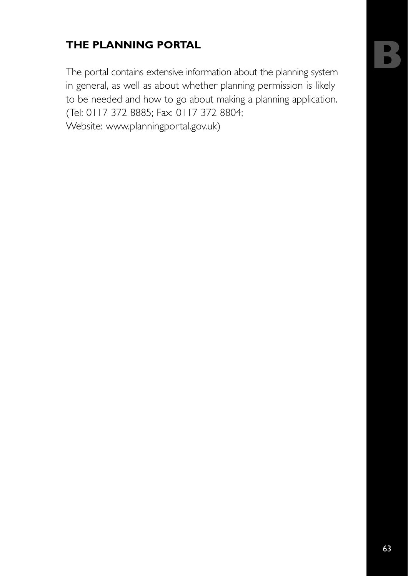#### **THE PLANNING PORTAL**

The portal contains extensive information about the planning system in general, as well as about whether planning permission is likely to be needed and how to go about making a planning application. (Tel: 0117 372 8885; Fax: 0117 372 8804; Website: www.planningportal.gov.uk)

**B**